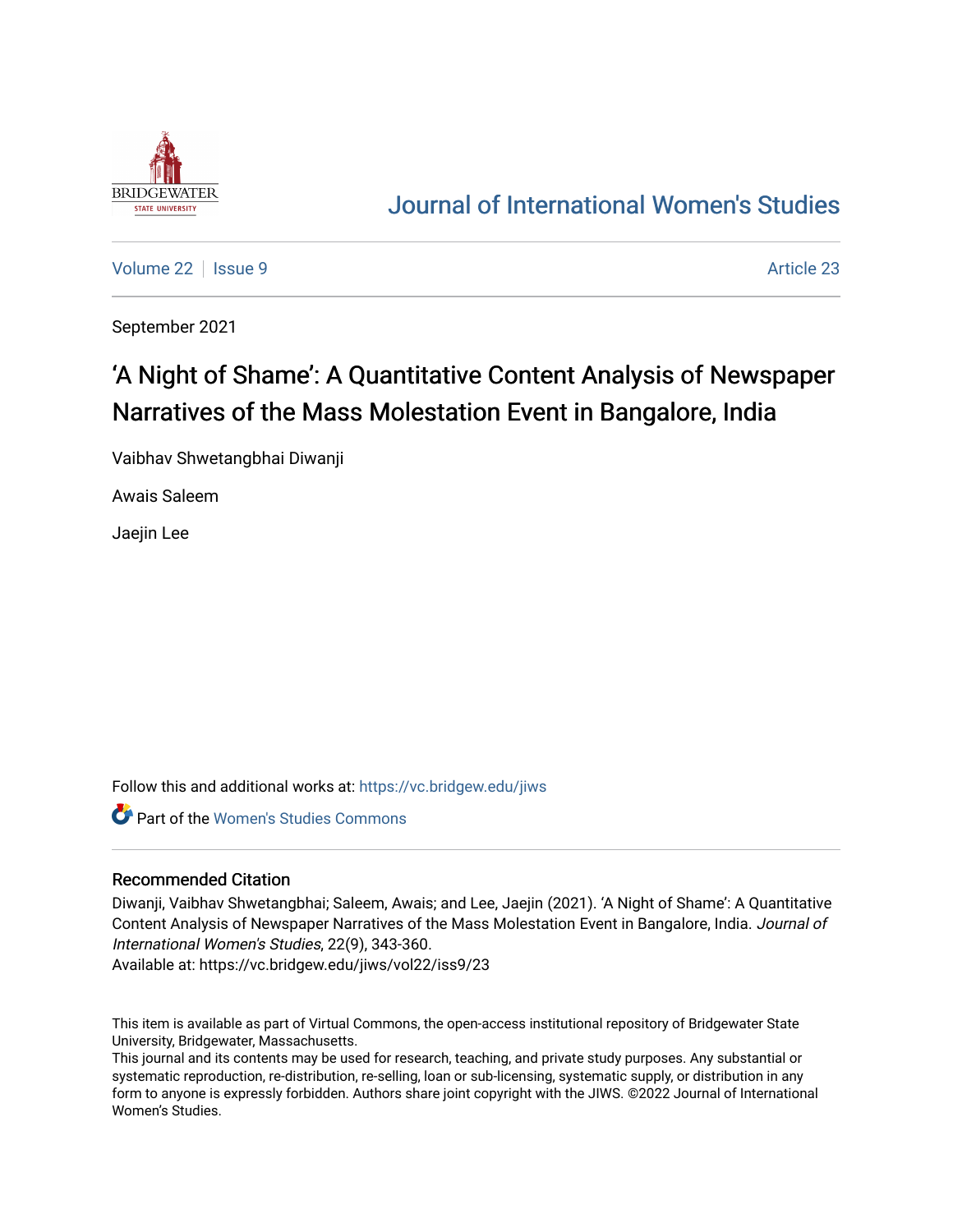

## [Journal of International Women's Studies](https://vc.bridgew.edu/jiws)

[Volume 22](https://vc.bridgew.edu/jiws/vol22) | [Issue 9](https://vc.bridgew.edu/jiws/vol22/iss9) Article 23

September 2021

# 'A Night of Shame': A Quantitative Content Analysis of Newspaper Narratives of the Mass Molestation Event in Bangalore, India

Vaibhav Shwetangbhai Diwanji

Awais Saleem

Jaejin Lee

Follow this and additional works at: [https://vc.bridgew.edu/jiws](https://vc.bridgew.edu/jiws?utm_source=vc.bridgew.edu%2Fjiws%2Fvol22%2Fiss9%2F23&utm_medium=PDF&utm_campaign=PDFCoverPages)

**Part of the Women's Studies Commons** 

#### Recommended Citation

Diwanji, Vaibhav Shwetangbhai; Saleem, Awais; and Lee, Jaejin (2021). 'A Night of Shame': A Quantitative Content Analysis of Newspaper Narratives of the Mass Molestation Event in Bangalore, India. Journal of International Women's Studies, 22(9), 343-360.

Available at: https://vc.bridgew.edu/jiws/vol22/iss9/23

This item is available as part of Virtual Commons, the open-access institutional repository of Bridgewater State University, Bridgewater, Massachusetts.

This journal and its contents may be used for research, teaching, and private study purposes. Any substantial or systematic reproduction, re-distribution, re-selling, loan or sub-licensing, systematic supply, or distribution in any form to anyone is expressly forbidden. Authors share joint copyright with the JIWS. ©2022 Journal of International Women's Studies.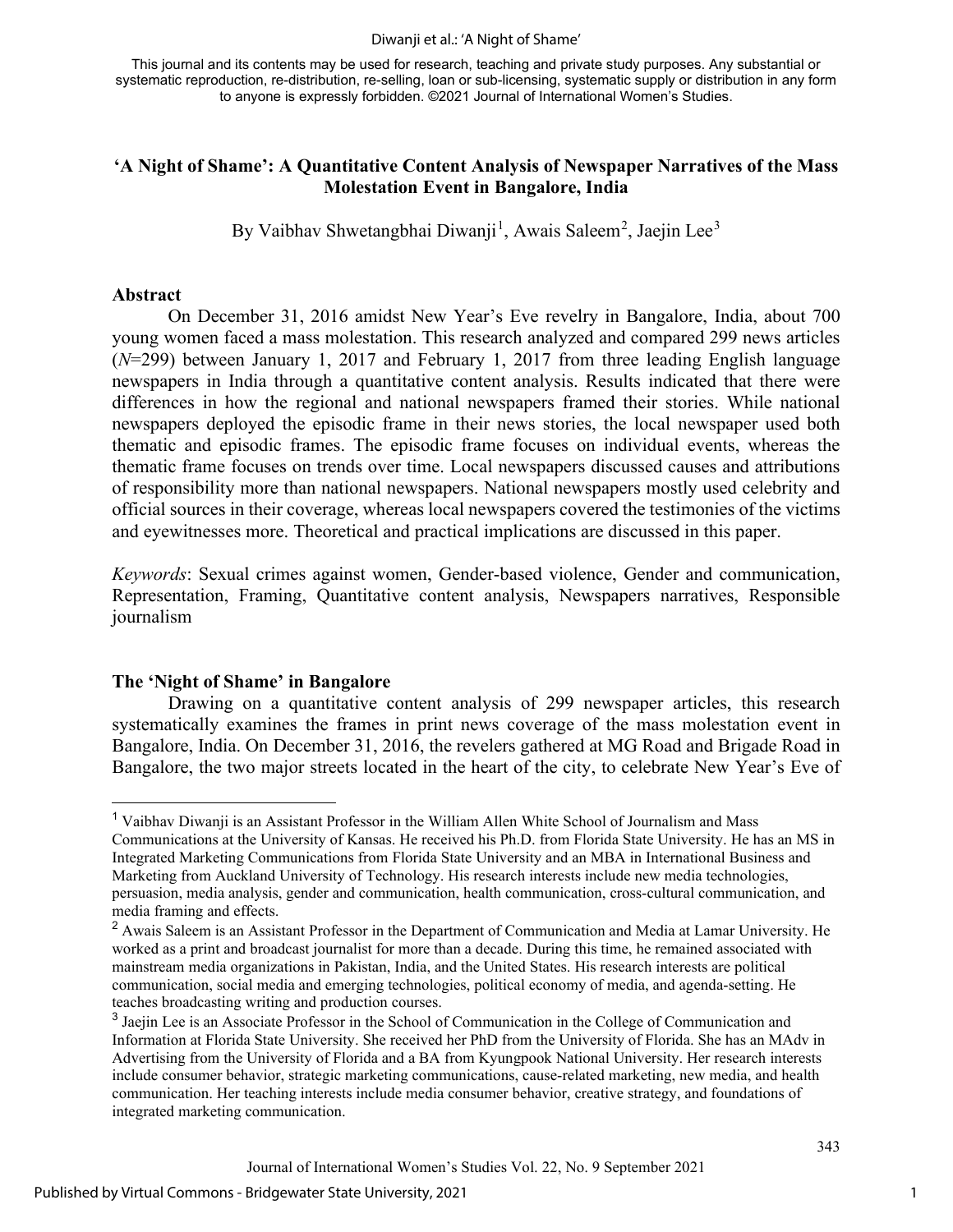#### Diwanji et al.: 'A Night of Shame'

This journal and its contents may be used for research, teaching and private study purposes. Any substantial or systematic reproduction, re-distribution, re-selling, loan or sub-licensing, systematic supply or distribution in any form to anyone is expressly forbidden. ©2021 Journal of International Women's Studies.

## **'A Night of Shame': A Quantitative Content Analysis of Newspaper Narratives of the Mass Molestation Event in Bangalore, India**

By Vaibhav Shwetangbhai Diwanji<sup>[1](#page-1-0)</sup>, Awais Saleem<sup>[2](#page-1-1)</sup>, Jaejin Lee<sup>[3](#page-1-2)</sup>

#### **Abstract**

On December 31, 2016 amidst New Year's Eve revelry in Bangalore, India, about 700 young women faced a mass molestation. This research analyzed and compared 299 news articles (*N*=299) between January 1, 2017 and February 1, 2017 from three leading English language newspapers in India through a quantitative content analysis. Results indicated that there were differences in how the regional and national newspapers framed their stories. While national newspapers deployed the episodic frame in their news stories, the local newspaper used both thematic and episodic frames. The episodic frame focuses on individual events, whereas the thematic frame focuses on trends over time. Local newspapers discussed causes and attributions of responsibility more than national newspapers. National newspapers mostly used celebrity and official sources in their coverage, whereas local newspapers covered the testimonies of the victims and eyewitnesses more. Theoretical and practical implications are discussed in this paper.

*Keywords*: Sexual crimes against women, Gender-based violence, Gender and communication, Representation, Framing, Quantitative content analysis, Newspapers narratives, Responsible journalism

#### **The 'Night of Shame' in Bangalore**

Drawing on a quantitative content analysis of 299 newspaper articles, this research systematically examines the frames in print news coverage of the mass molestation event in Bangalore, India. On December 31, 2016, the revelers gathered at MG Road and Brigade Road in Bangalore, the two major streets located in the heart of the city, to celebrate New Year's Eve of

<span id="page-1-0"></span><sup>1</sup> Vaibhav Diwanji is an Assistant Professor in the William Allen White School of Journalism and Mass Communications at the University of Kansas. He received his Ph.D. from Florida State University. He has an MS in Integrated Marketing Communications from Florida State University and an MBA in International Business and Marketing from Auckland University of Technology. His research interests include new media technologies, persuasion, media analysis, gender and communication, health communication, cross-cultural communication, and media framing and effects.

<span id="page-1-1"></span><sup>&</sup>lt;sup>2</sup> Awais Saleem is an Assistant Professor in the Department of Communication and Media at Lamar University. He worked as a print and broadcast journalist for more than a decade. During this time, he remained associated with mainstream media organizations in Pakistan, India, and the United States. His research interests are political communication, social media and emerging technologies, political economy of media, and agenda-setting. He teaches broadcasting writing and production courses.

<span id="page-1-2"></span><sup>3</sup> Jaejin Lee is an Associate Professor in the School of Communication in the College of Communication and Information at Florida State University. She received her PhD from the University of Florida. She has an MAdv in Advertising from the University of Florida and a BA from Kyungpook National University. Her research interests include consumer behavior, strategic marketing communications, cause-related marketing, new media, and health communication. Her teaching interests include media consumer behavior, creative strategy, and foundations of integrated marketing communication.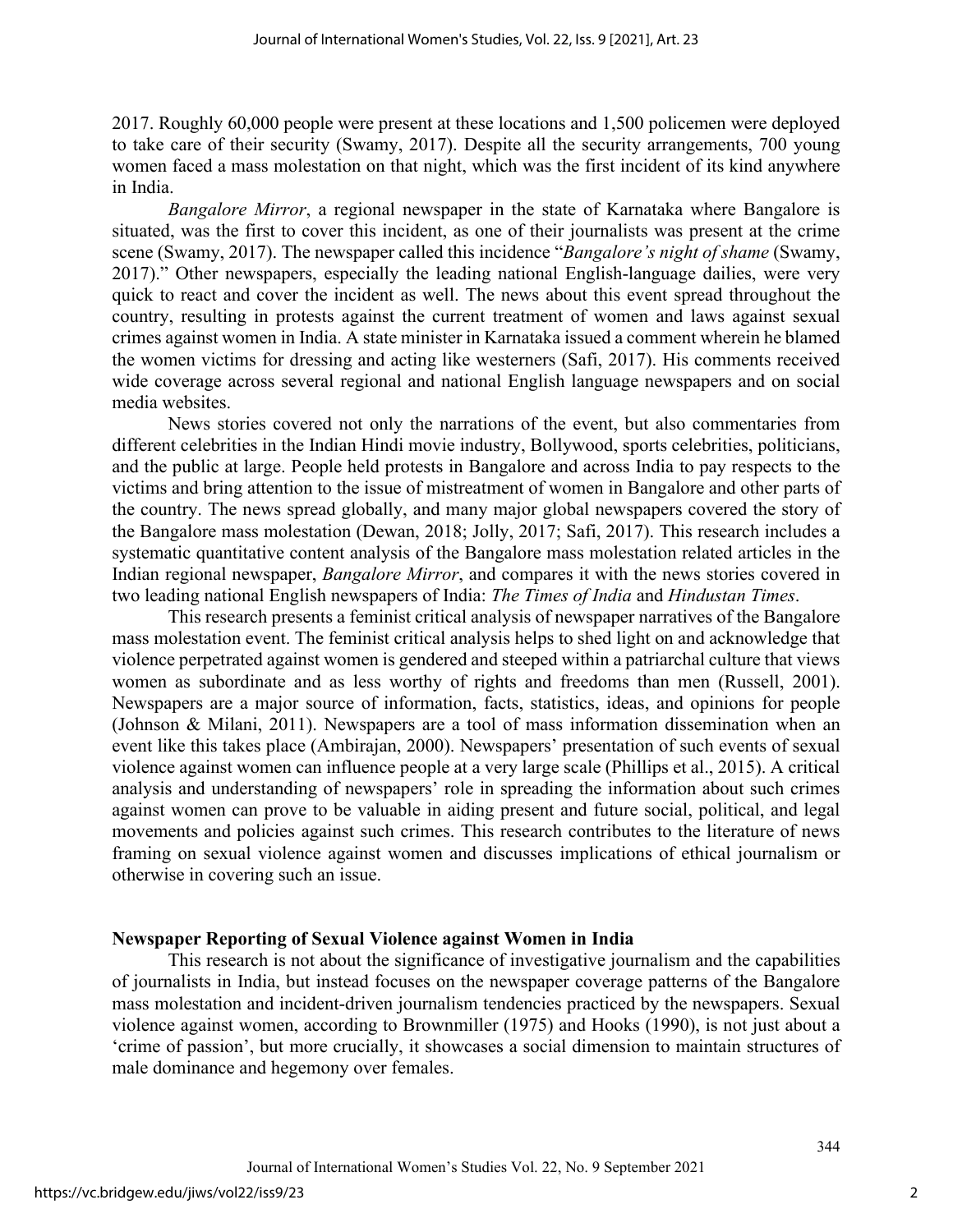2017. Roughly 60,000 people were present at these locations and 1,500 policemen were deployed to take care of their security (Swamy, 2017). Despite all the security arrangements, 700 young women faced a mass molestation on that night, which was the first incident of its kind anywhere in India.

*Bangalore Mirror*, a regional newspaper in the state of Karnataka where Bangalore is situated, was the first to cover this incident, as one of their journalists was present at the crime scene (Swamy, 2017). The newspaper called this incidence "*Bangalore's night of shame* (Swamy, 2017)." Other newspapers, especially the leading national English-language dailies, were very quick to react and cover the incident as well. The news about this event spread throughout the country, resulting in protests against the current treatment of women and laws against sexual crimes against women in India. A state minister in Karnataka issued a comment wherein he blamed the women victims for dressing and acting like westerners (Safi, 2017). His comments received wide coverage across several regional and national English language newspapers and on social media websites.

News stories covered not only the narrations of the event, but also commentaries from different celebrities in the Indian Hindi movie industry, Bollywood, sports celebrities, politicians, and the public at large. People held protests in Bangalore and across India to pay respects to the victims and bring attention to the issue of mistreatment of women in Bangalore and other parts of the country. The news spread globally, and many major global newspapers covered the story of the Bangalore mass molestation (Dewan, 2018; Jolly, 2017; Safi, 2017). This research includes a systematic quantitative content analysis of the Bangalore mass molestation related articles in the Indian regional newspaper, *Bangalore Mirror*, and compares it with the news stories covered in two leading national English newspapers of India: *The Times of India* and *Hindustan Times*.

This research presents a feminist critical analysis of newspaper narratives of the Bangalore mass molestation event. The feminist critical analysis helps to shed light on and acknowledge that violence perpetrated against women is gendered and steeped within a patriarchal culture that views women as subordinate and as less worthy of rights and freedoms than men (Russell, 2001). Newspapers are a major source of information, facts, statistics, ideas, and opinions for people (Johnson & Milani, 2011). Newspapers are a tool of mass information dissemination when an event like this takes place (Ambirajan, 2000). Newspapers' presentation of such events of sexual violence against women can influence people at a very large scale (Phillips et al., 2015). A critical analysis and understanding of newspapers' role in spreading the information about such crimes against women can prove to be valuable in aiding present and future social, political, and legal movements and policies against such crimes. This research contributes to the literature of news framing on sexual violence against women and discusses implications of ethical journalism or otherwise in covering such an issue.

## **Newspaper Reporting of Sexual Violence against Women in India**

This research is not about the significance of investigative journalism and the capabilities of journalists in India, but instead focuses on the newspaper coverage patterns of the Bangalore mass molestation and incident-driven journalism tendencies practiced by the newspapers. Sexual violence against women, according to Brownmiller (1975) and Hooks (1990), is not just about a 'crime of passion', but more crucially, it showcases a social dimension to maintain structures of male dominance and hegemony over females.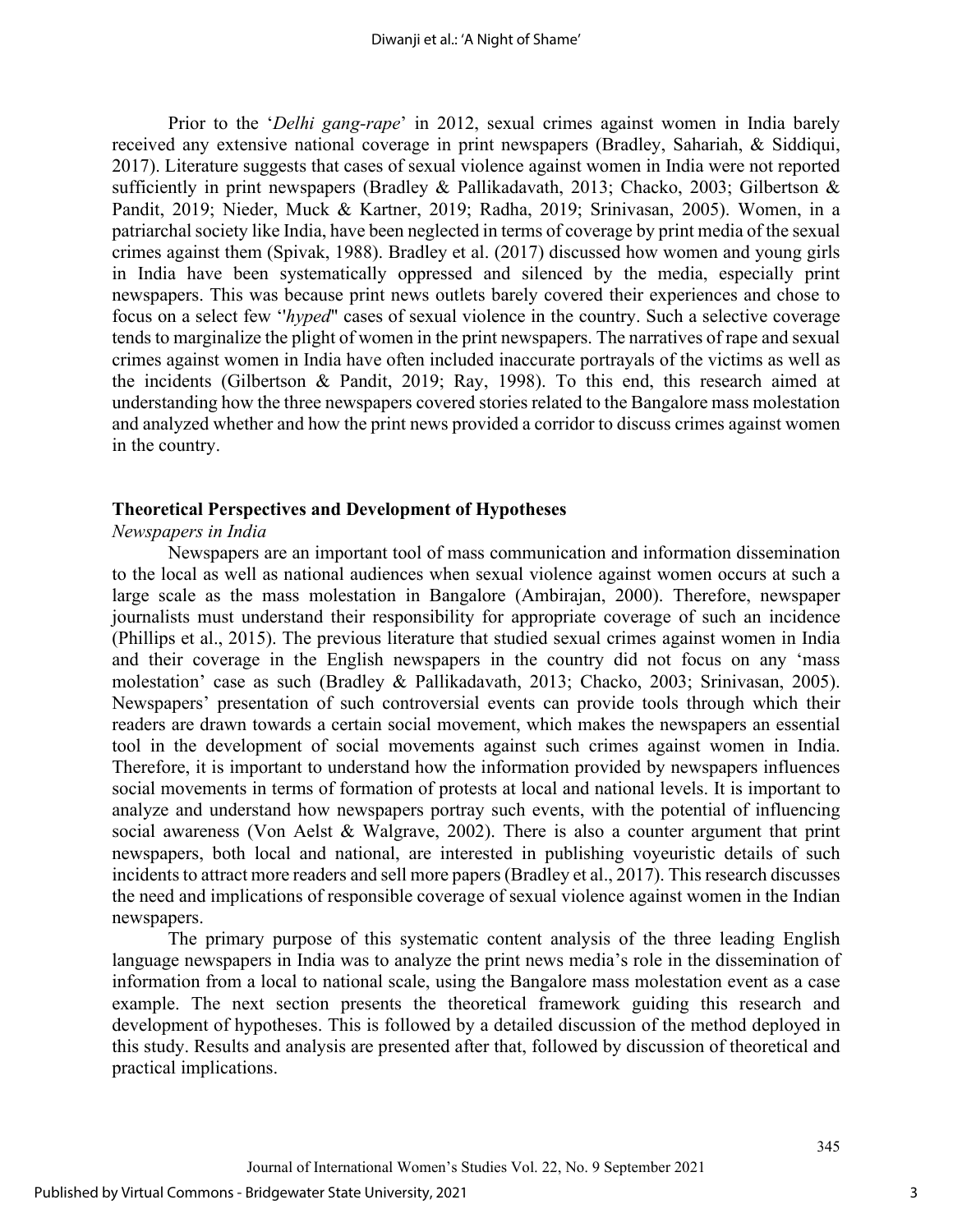Prior to the '*Delhi gang-rape*' in 2012, sexual crimes against women in India barely received any extensive national coverage in print newspapers (Bradley, Sahariah, & Siddiqui, 2017). Literature suggests that cases of sexual violence against women in India were not reported sufficiently in print newspapers (Bradley & Pallikadavath, 2013; Chacko, 2003; Gilbertson & Pandit, 2019; Nieder, Muck & Kartner, 2019; Radha, 2019; Srinivasan, 2005). Women, in a patriarchal society like India, have been neglected in terms of coverage by print media of the sexual crimes against them (Spivak, 1988). Bradley et al. (2017) discussed how women and young girls in India have been systematically oppressed and silenced by the media, especially print newspapers. This was because print news outlets barely covered their experiences and chose to focus on a select few ''*hyped*" cases of sexual violence in the country. Such a selective coverage tends to marginalize the plight of women in the print newspapers. The narratives of rape and sexual crimes against women in India have often included inaccurate portrayals of the victims as well as the incidents (Gilbertson & Pandit, 2019; Ray, 1998). To this end, this research aimed at understanding how the three newspapers covered stories related to the Bangalore mass molestation and analyzed whether and how the print news provided a corridor to discuss crimes against women in the country.

### **Theoretical Perspectives and Development of Hypotheses**

## *Newspapers in India*

Newspapers are an important tool of mass communication and information dissemination to the local as well as national audiences when sexual violence against women occurs at such a large scale as the mass molestation in Bangalore (Ambirajan, 2000). Therefore, newspaper journalists must understand their responsibility for appropriate coverage of such an incidence (Phillips et al., 2015). The previous literature that studied sexual crimes against women in India and their coverage in the English newspapers in the country did not focus on any 'mass molestation' case as such (Bradley & Pallikadavath, 2013; Chacko, 2003; Srinivasan, 2005). Newspapers' presentation of such controversial events can provide tools through which their readers are drawn towards a certain social movement, which makes the newspapers an essential tool in the development of social movements against such crimes against women in India. Therefore, it is important to understand how the information provided by newspapers influences social movements in terms of formation of protests at local and national levels. It is important to analyze and understand how newspapers portray such events, with the potential of influencing social awareness (Von Aelst & Walgrave, 2002). There is also a counter argument that print newspapers, both local and national, are interested in publishing voyeuristic details of such incidents to attract more readers and sell more papers (Bradley et al., 2017). This research discusses the need and implications of responsible coverage of sexual violence against women in the Indian newspapers.

The primary purpose of this systematic content analysis of the three leading English language newspapers in India was to analyze the print news media's role in the dissemination of information from a local to national scale, using the Bangalore mass molestation event as a case example. The next section presents the theoretical framework guiding this research and development of hypotheses. This is followed by a detailed discussion of the method deployed in this study. Results and analysis are presented after that, followed by discussion of theoretical and practical implications.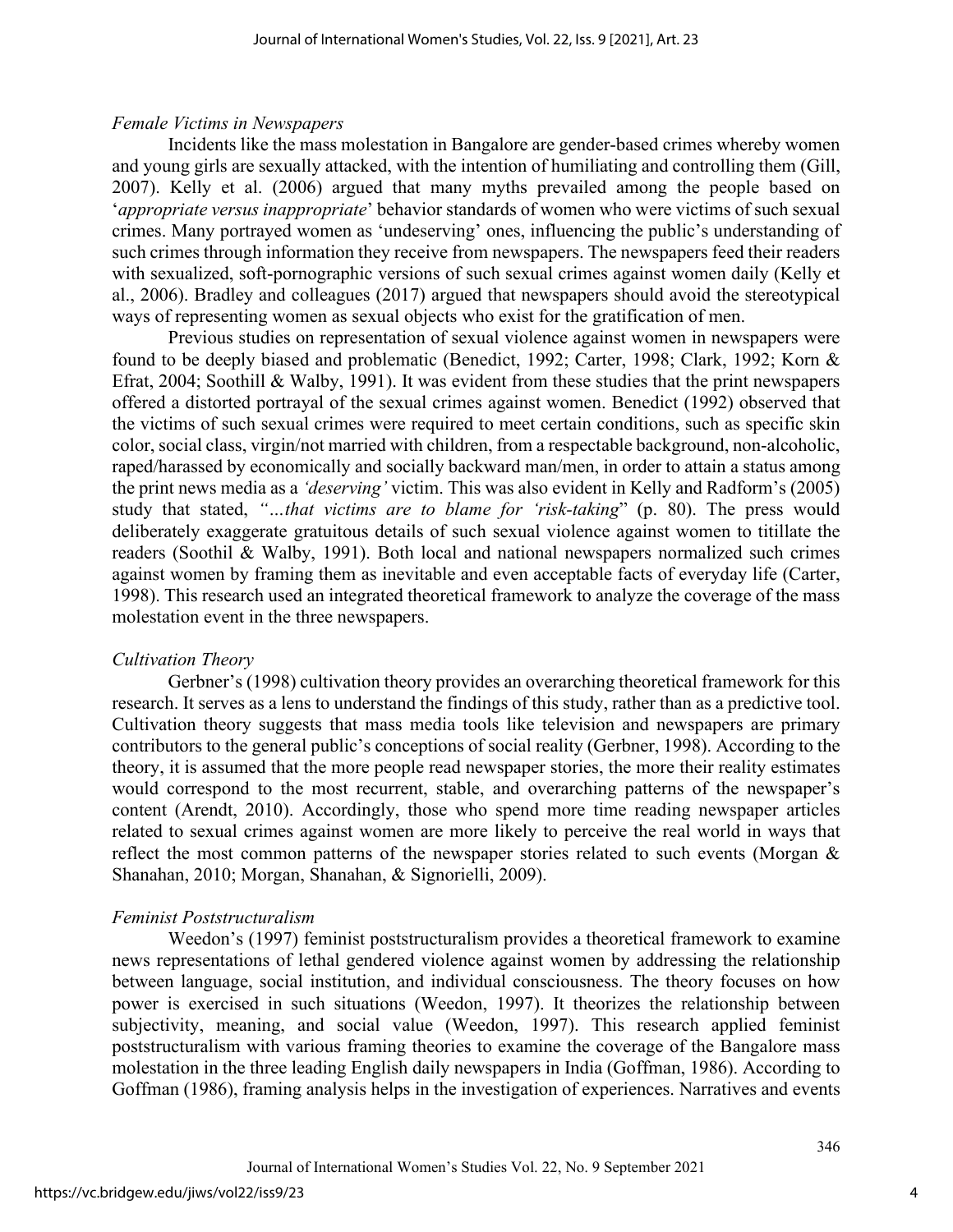## *Female Victims in Newspapers*

Incidents like the mass molestation in Bangalore are gender-based crimes whereby women and young girls are sexually attacked, with the intention of humiliating and controlling them (Gill, 2007). Kelly et al. (2006) argued that many myths prevailed among the people based on '*appropriate versus inappropriate*' behavior standards of women who were victims of such sexual crimes. Many portrayed women as 'undeserving' ones, influencing the public's understanding of such crimes through information they receive from newspapers. The newspapers feed their readers with sexualized, soft-pornographic versions of such sexual crimes against women daily (Kelly et al., 2006). Bradley and colleagues (2017) argued that newspapers should avoid the stereotypical ways of representing women as sexual objects who exist for the gratification of men.

Previous studies on representation of sexual violence against women in newspapers were found to be deeply biased and problematic (Benedict, 1992; Carter, 1998; Clark, 1992; Korn & Efrat, 2004; Soothill & Walby, 1991). It was evident from these studies that the print newspapers offered a distorted portrayal of the sexual crimes against women. Benedict (1992) observed that the victims of such sexual crimes were required to meet certain conditions, such as specific skin color, social class, virgin/not married with children, from a respectable background, non-alcoholic, raped/harassed by economically and socially backward man/men, in order to attain a status among the print news media as a *'deserving'* victim. This was also evident in Kelly and Radform's (2005) study that stated, *"…that victims are to blame for 'risk-taking*" (p. 80). The press would deliberately exaggerate gratuitous details of such sexual violence against women to titillate the readers (Soothil & Walby, 1991). Both local and national newspapers normalized such crimes against women by framing them as inevitable and even acceptable facts of everyday life (Carter, 1998). This research used an integrated theoretical framework to analyze the coverage of the mass molestation event in the three newspapers.

## *Cultivation Theory*

Gerbner's (1998) cultivation theory provides an overarching theoretical framework for this research. It serves as a lens to understand the findings of this study, rather than as a predictive tool. Cultivation theory suggests that mass media tools like television and newspapers are primary contributors to the general public's conceptions of social reality (Gerbner, 1998). According to the theory, it is assumed that the more people read newspaper stories, the more their reality estimates would correspond to the most recurrent, stable, and overarching patterns of the newspaper's content (Arendt, 2010). Accordingly, those who spend more time reading newspaper articles related to sexual crimes against women are more likely to perceive the real world in ways that reflect the most common patterns of the newspaper stories related to such events (Morgan & Shanahan, 2010; Morgan, Shanahan, & Signorielli, 2009).

## *Feminist Poststructuralism*

Weedon's (1997) feminist poststructuralism provides a theoretical framework to examine news representations of lethal gendered violence against women by addressing the relationship between language, social institution, and individual consciousness. The theory focuses on how power is exercised in such situations (Weedon, 1997). It theorizes the relationship between subjectivity, meaning, and social value (Weedon, 1997). This research applied feminist poststructuralism with various framing theories to examine the coverage of the Bangalore mass molestation in the three leading English daily newspapers in India (Goffman, 1986). According to Goffman (1986), framing analysis helps in the investigation of experiences. Narratives and events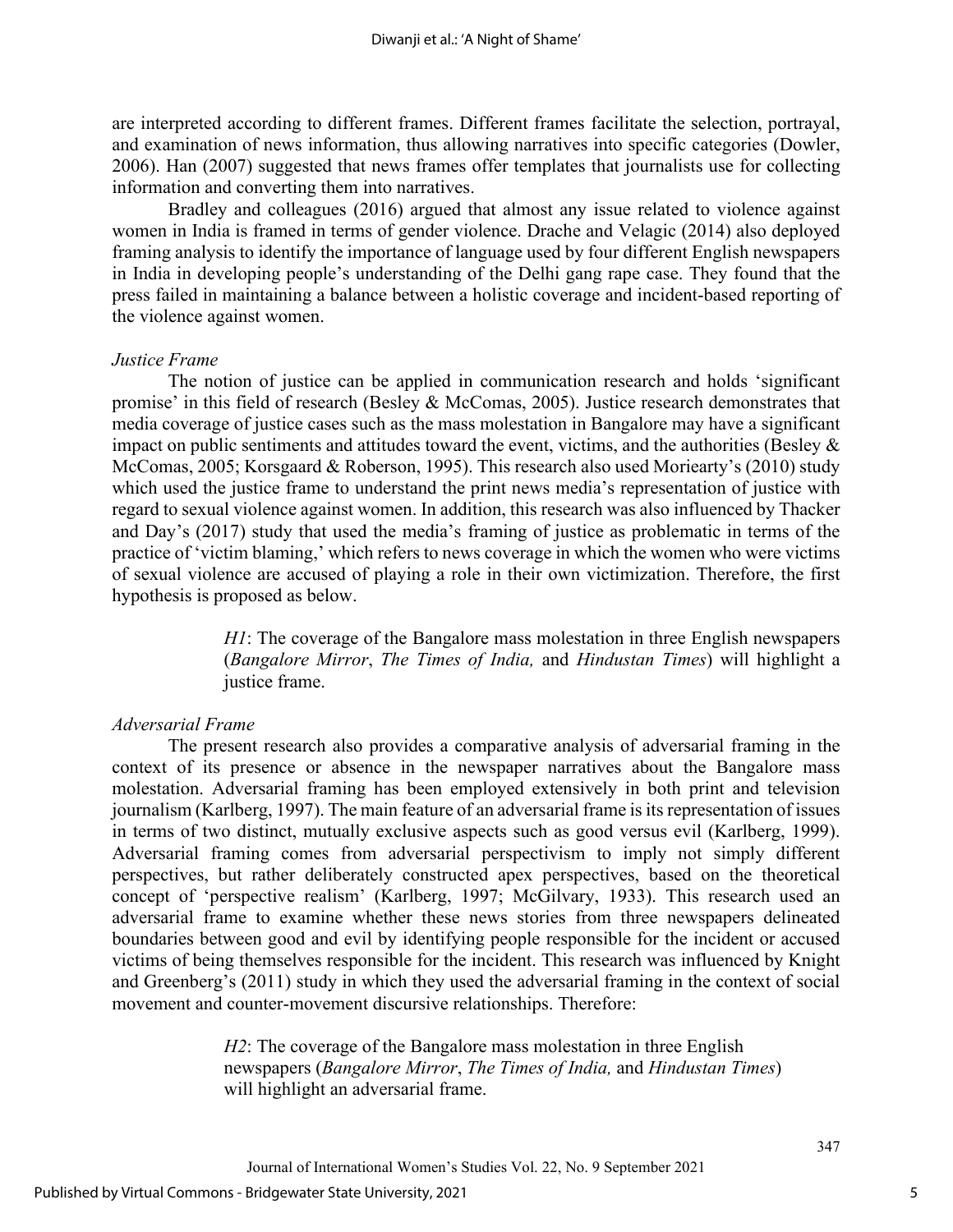are interpreted according to different frames. Different frames facilitate the selection, portrayal, and examination of news information, thus allowing narratives into specific categories (Dowler, 2006). Han (2007) suggested that news frames offer templates that journalists use for collecting information and converting them into narratives.

Bradley and colleagues (2016) argued that almost any issue related to violence against women in India is framed in terms of gender violence. Drache and Velagic (2014) also deployed framing analysis to identify the importance of language used by four different English newspapers in India in developing people's understanding of the Delhi gang rape case. They found that the press failed in maintaining a balance between a holistic coverage and incident-based reporting of the violence against women.

#### *Justice Frame*

The notion of justice can be applied in communication research and holds 'significant promise' in this field of research (Besley & McComas, 2005). Justice research demonstrates that media coverage of justice cases such as the mass molestation in Bangalore may have a significant impact on public sentiments and attitudes toward the event, victims, and the authorities (Besley & McComas, 2005; Korsgaard & Roberson, 1995). This research also used Moriearty's (2010) study which used the justice frame to understand the print news media's representation of justice with regard to sexual violence against women. In addition, this research was also influenced by Thacker and Day's (2017) study that used the media's framing of justice as problematic in terms of the practice of 'victim blaming,' which refers to news coverage in which the women who were victims of sexual violence are accused of playing a role in their own victimization. Therefore, the first hypothesis is proposed as below.

> *H1*: The coverage of the Bangalore mass molestation in three English newspapers (*Bangalore Mirror*, *The Times of India,* and *Hindustan Times*) will highlight a justice frame.

#### *Adversarial Frame*

The present research also provides a comparative analysis of adversarial framing in the context of its presence or absence in the newspaper narratives about the Bangalore mass molestation. Adversarial framing has been employed extensively in both print and television journalism (Karlberg, 1997). The main feature of an adversarial frame is its representation of issues in terms of two distinct, mutually exclusive aspects such as good versus evil (Karlberg, 1999). Adversarial framing comes from adversarial perspectivism to imply not simply different perspectives, but rather deliberately constructed apex perspectives, based on the theoretical concept of 'perspective realism' (Karlberg, 1997; McGilvary, 1933). This research used an adversarial frame to examine whether these news stories from three newspapers delineated boundaries between good and evil by identifying people responsible for the incident or accused victims of being themselves responsible for the incident. This research was influenced by Knight and Greenberg's (2011) study in which they used the adversarial framing in the context of social movement and counter-movement discursive relationships. Therefore:

> *H2*: The coverage of the Bangalore mass molestation in three English newspapers (*Bangalore Mirror*, *The Times of India,* and *Hindustan Times*) will highlight an adversarial frame.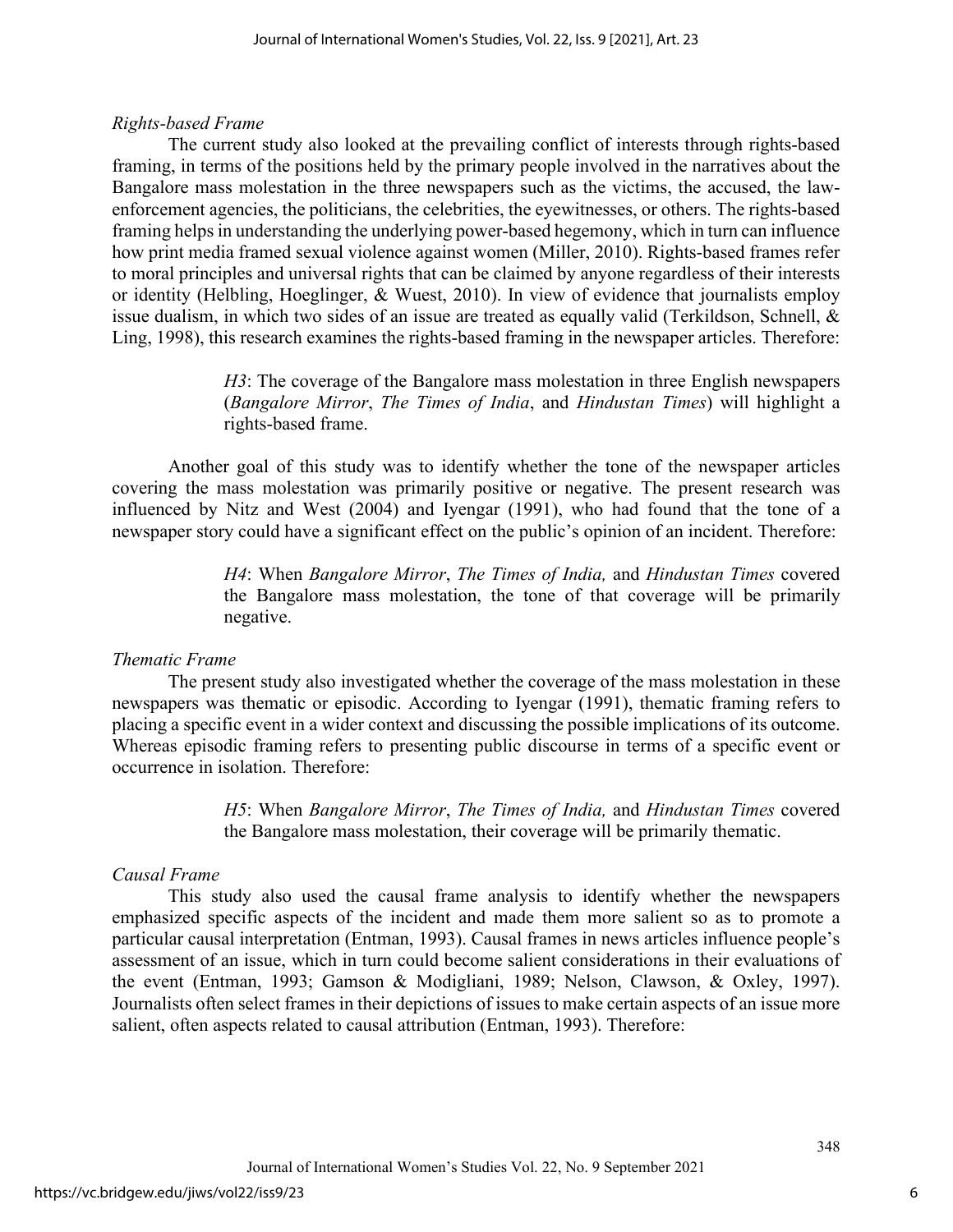## *Rights-based Frame*

The current study also looked at the prevailing conflict of interests through rights-based framing, in terms of the positions held by the primary people involved in the narratives about the Bangalore mass molestation in the three newspapers such as the victims, the accused, the lawenforcement agencies, the politicians, the celebrities, the eyewitnesses, or others. The rights-based framing helps in understanding the underlying power-based hegemony, which in turn can influence how print media framed sexual violence against women (Miller, 2010). Rights-based frames refer to moral principles and universal rights that can be claimed by anyone regardless of their interests or identity (Helbling, Hoeglinger, & Wuest, 2010). In view of evidence that journalists employ issue dualism, in which two sides of an issue are treated as equally valid (Terkildson, Schnell, & Ling, 1998), this research examines the rights-based framing in the newspaper articles. Therefore:

> *H3*: The coverage of the Bangalore mass molestation in three English newspapers (*Bangalore Mirror*, *The Times of India*, and *Hindustan Times*) will highlight a rights-based frame.

Another goal of this study was to identify whether the tone of the newspaper articles covering the mass molestation was primarily positive or negative. The present research was influenced by Nitz and West (2004) and Iyengar (1991), who had found that the tone of a newspaper story could have a significant effect on the public's opinion of an incident. Therefore:

> *H4*: When *Bangalore Mirror*, *The Times of India,* and *Hindustan Times* covered the Bangalore mass molestation, the tone of that coverage will be primarily negative.

## *Thematic Frame*

The present study also investigated whether the coverage of the mass molestation in these newspapers was thematic or episodic. According to Iyengar (1991), thematic framing refers to placing a specific event in a wider context and discussing the possible implications of its outcome. Whereas episodic framing refers to presenting public discourse in terms of a specific event or occurrence in isolation. Therefore:

> *H5*: When *Bangalore Mirror*, *The Times of India,* and *Hindustan Times* covered the Bangalore mass molestation, their coverage will be primarily thematic.

## *Causal Frame*

This study also used the causal frame analysis to identify whether the newspapers emphasized specific aspects of the incident and made them more salient so as to promote a particular causal interpretation (Entman, 1993). Causal frames in news articles influence people's assessment of an issue, which in turn could become salient considerations in their evaluations of the event (Entman, 1993; Gamson & Modigliani, 1989; Nelson, Clawson, & Oxley, 1997). Journalists often select frames in their depictions of issues to make certain aspects of an issue more salient, often aspects related to causal attribution (Entman, 1993). Therefore: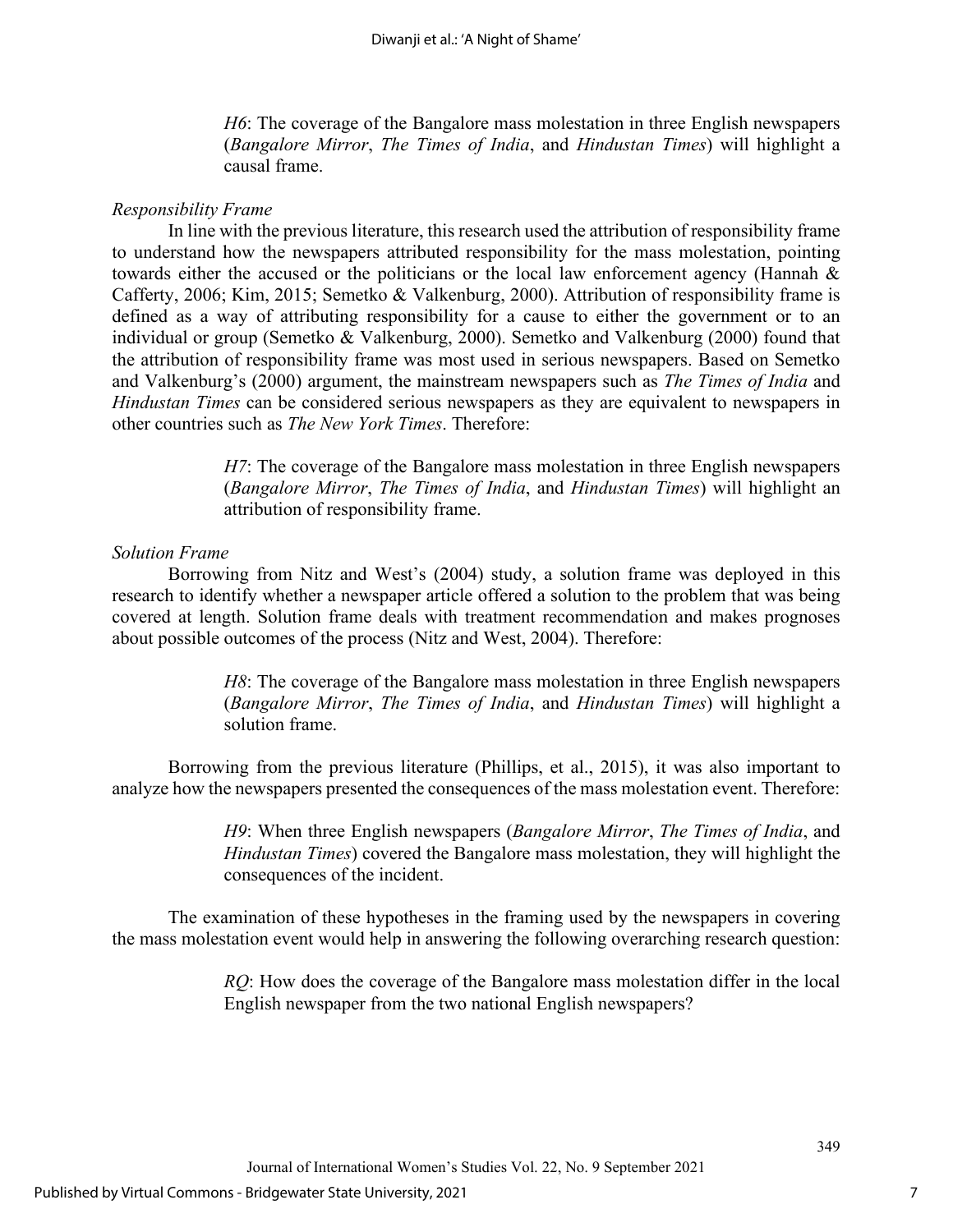*H6*: The coverage of the Bangalore mass molestation in three English newspapers (*Bangalore Mirror*, *The Times of India*, and *Hindustan Times*) will highlight a causal frame.

### *Responsibility Frame*

In line with the previous literature, this research used the attribution of responsibility frame to understand how the newspapers attributed responsibility for the mass molestation, pointing towards either the accused or the politicians or the local law enforcement agency (Hannah & Cafferty, 2006; Kim, 2015; Semetko & Valkenburg, 2000). Attribution of responsibility frame is defined as a way of attributing responsibility for a cause to either the government or to an individual or group (Semetko & Valkenburg, 2000). Semetko and Valkenburg (2000) found that the attribution of responsibility frame was most used in serious newspapers. Based on Semetko and Valkenburg's (2000) argument, the mainstream newspapers such as *The Times of India* and *Hindustan Times* can be considered serious newspapers as they are equivalent to newspapers in other countries such as *The New York Times*. Therefore:

> *H7*: The coverage of the Bangalore mass molestation in three English newspapers (*Bangalore Mirror*, *The Times of India*, and *Hindustan Times*) will highlight an attribution of responsibility frame.

### *Solution Frame*

Borrowing from Nitz and West's (2004) study, a solution frame was deployed in this research to identify whether a newspaper article offered a solution to the problem that was being covered at length. Solution frame deals with treatment recommendation and makes prognoses about possible outcomes of the process (Nitz and West, 2004). Therefore:

> *H8*: The coverage of the Bangalore mass molestation in three English newspapers (*Bangalore Mirror*, *The Times of India*, and *Hindustan Times*) will highlight a solution frame.

Borrowing from the previous literature (Phillips, et al., 2015), it was also important to analyze how the newspapers presented the consequences of the mass molestation event. Therefore:

> *H9*: When three English newspapers (*Bangalore Mirror*, *The Times of India*, and *Hindustan Times*) covered the Bangalore mass molestation, they will highlight the consequences of the incident.

The examination of these hypotheses in the framing used by the newspapers in covering the mass molestation event would help in answering the following overarching research question:

> *RQ*: How does the coverage of the Bangalore mass molestation differ in the local English newspaper from the two national English newspapers?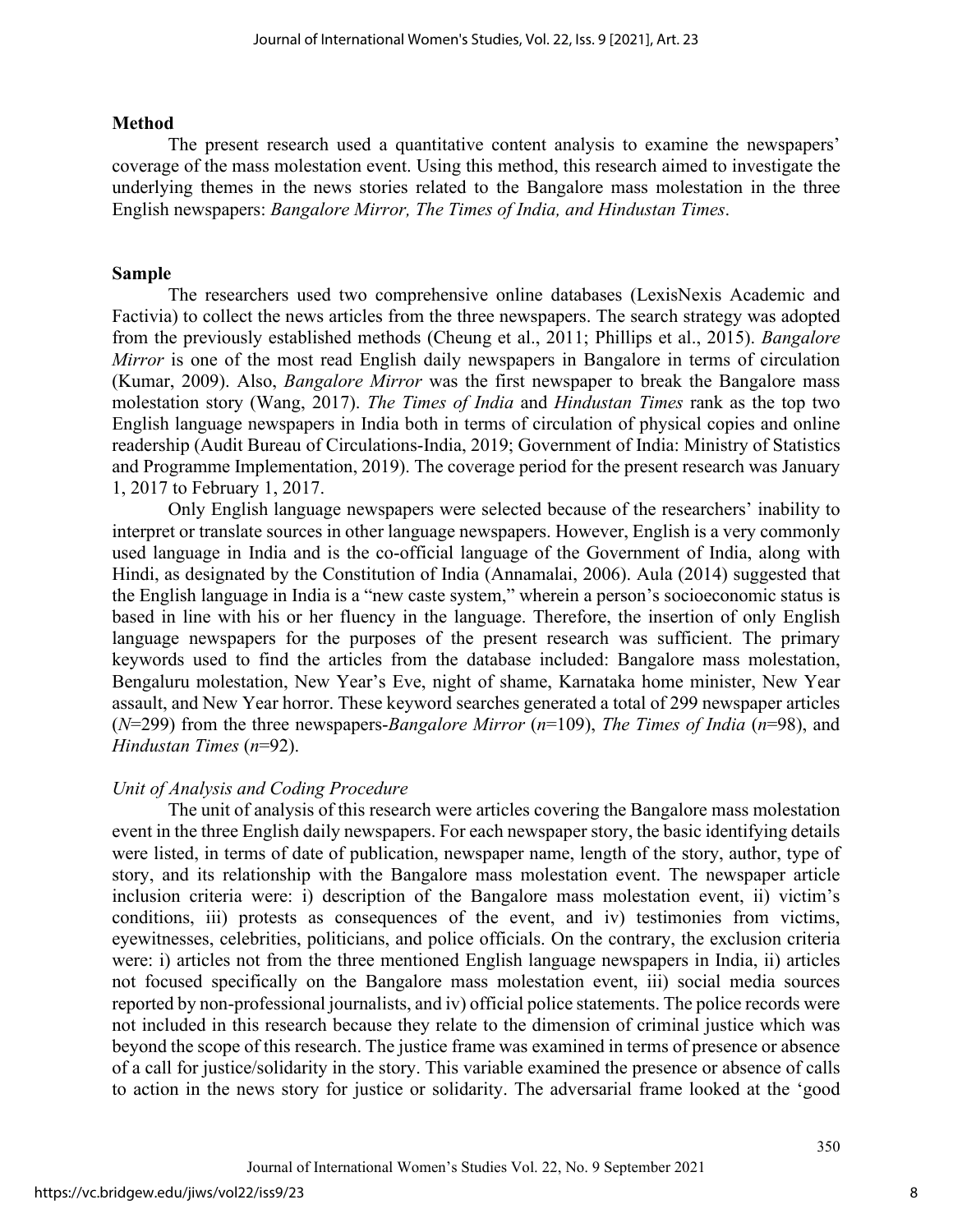#### **Method**

The present research used a quantitative content analysis to examine the newspapers' coverage of the mass molestation event. Using this method, this research aimed to investigate the underlying themes in the news stories related to the Bangalore mass molestation in the three English newspapers: *Bangalore Mirror, The Times of India, and Hindustan Times*.

## **Sample**

The researchers used two comprehensive online databases (LexisNexis Academic and Factivia) to collect the news articles from the three newspapers. The search strategy was adopted from the previously established methods (Cheung et al., 2011; Phillips et al., 2015). *Bangalore Mirror* is one of the most read English daily newspapers in Bangalore in terms of circulation (Kumar, 2009). Also, *Bangalore Mirror* was the first newspaper to break the Bangalore mass molestation story (Wang, 2017). *The Times of India* and *Hindustan Times* rank as the top two English language newspapers in India both in terms of circulation of physical copies and online readership (Audit Bureau of Circulations-India, 2019; Government of India: Ministry of Statistics and Programme Implementation, 2019). The coverage period for the present research was January 1, 2017 to February 1, 2017.

Only English language newspapers were selected because of the researchers' inability to interpret or translate sources in other language newspapers. However, English is a very commonly used language in India and is the co-official language of the Government of India, along with Hindi, as designated by the Constitution of India (Annamalai, 2006). Aula (2014) suggested that the English language in India is a "new caste system," wherein a person's socioeconomic status is based in line with his or her fluency in the language. Therefore, the insertion of only English language newspapers for the purposes of the present research was sufficient. The primary keywords used to find the articles from the database included: Bangalore mass molestation, Bengaluru molestation, New Year's Eve, night of shame, Karnataka home minister, New Year assault, and New Year horror. These keyword searches generated a total of 299 newspaper articles (*N*=299) from the three newspapers-*Bangalore Mirror* (*n*=109), *The Times of India* (*n*=98), and *Hindustan Times* (*n*=92).

## *Unit of Analysis and Coding Procedure*

The unit of analysis of this research were articles covering the Bangalore mass molestation event in the three English daily newspapers. For each newspaper story, the basic identifying details were listed, in terms of date of publication, newspaper name, length of the story, author, type of story, and its relationship with the Bangalore mass molestation event. The newspaper article inclusion criteria were: i) description of the Bangalore mass molestation event, ii) victim's conditions, iii) protests as consequences of the event, and iv) testimonies from victims, eyewitnesses, celebrities, politicians, and police officials. On the contrary, the exclusion criteria were: i) articles not from the three mentioned English language newspapers in India, ii) articles not focused specifically on the Bangalore mass molestation event, iii) social media sources reported by non-professional journalists, and iv) official police statements. The police records were not included in this research because they relate to the dimension of criminal justice which was beyond the scope of this research. The justice frame was examined in terms of presence or absence of a call for justice/solidarity in the story. This variable examined the presence or absence of calls to action in the news story for justice or solidarity. The adversarial frame looked at the 'good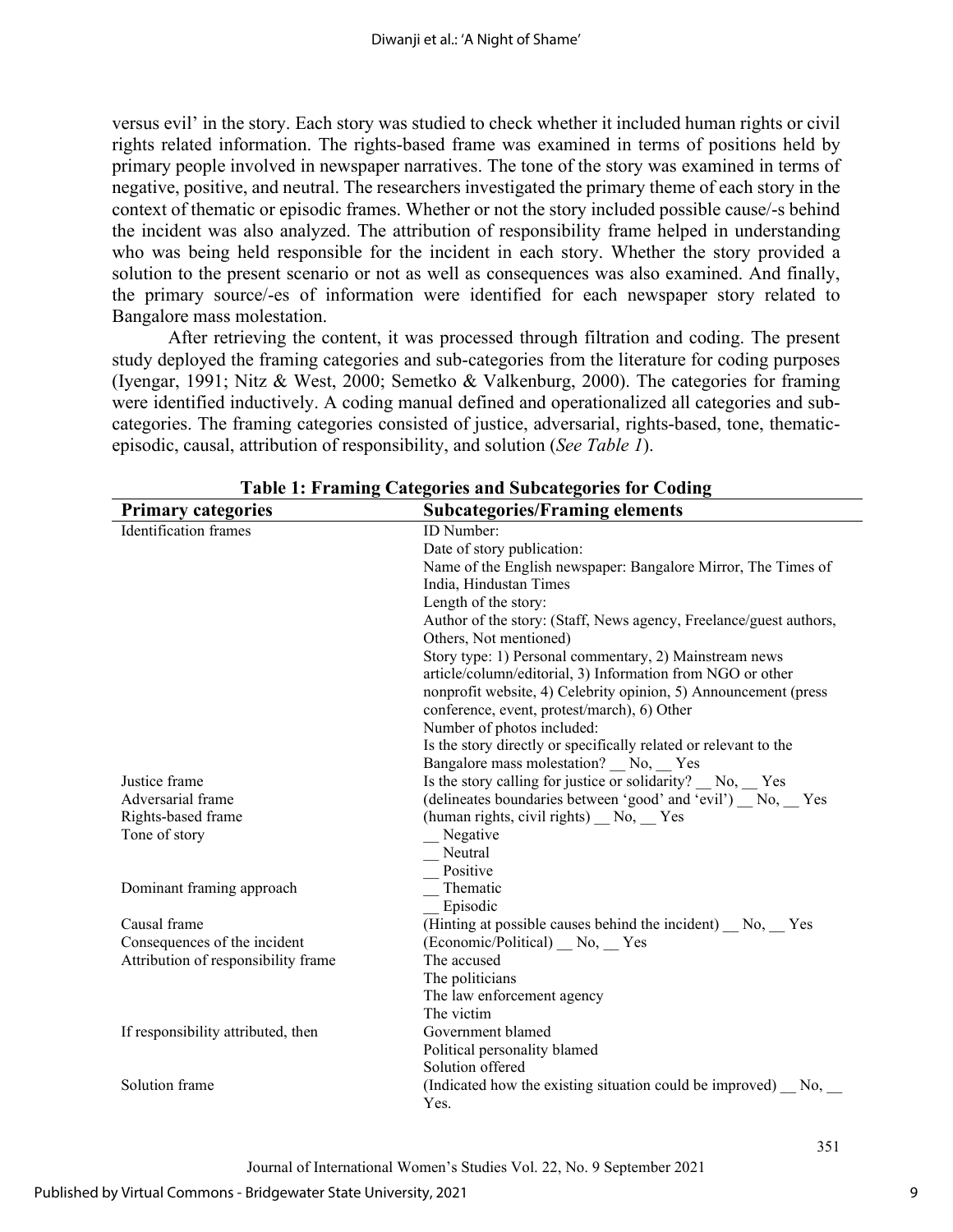versus evil' in the story. Each story was studied to check whether it included human rights or civil rights related information. The rights-based frame was examined in terms of positions held by primary people involved in newspaper narratives. The tone of the story was examined in terms of negative, positive, and neutral. The researchers investigated the primary theme of each story in the context of thematic or episodic frames. Whether or not the story included possible cause/-s behind the incident was also analyzed. The attribution of responsibility frame helped in understanding who was being held responsible for the incident in each story. Whether the story provided a solution to the present scenario or not as well as consequences was also examined. And finally, the primary source/-es of information were identified for each newspaper story related to Bangalore mass molestation.

After retrieving the content, it was processed through filtration and coding. The present study deployed the framing categories and sub-categories from the literature for coding purposes (Iyengar, 1991; Nitz & West, 2000; Semetko & Valkenburg, 2000). The categories for framing were identified inductively. A coding manual defined and operationalized all categories and subcategories. The framing categories consisted of justice, adversarial, rights-based, tone, thematicepisodic, causal, attribution of responsibility, and solution (*See Table 1*).

| <b>Primary categories</b>           | <b>Subcategories/Framing elements</b>                              |
|-------------------------------------|--------------------------------------------------------------------|
| <b>Identification</b> frames        | <b>ID</b> Number:                                                  |
|                                     | Date of story publication:                                         |
|                                     | Name of the English newspaper: Bangalore Mirror, The Times of      |
|                                     | India, Hindustan Times                                             |
|                                     | Length of the story:                                               |
|                                     | Author of the story: (Staff, News agency, Freelance/guest authors, |
|                                     | Others, Not mentioned)                                             |
|                                     | Story type: 1) Personal commentary, 2) Mainstream news             |
|                                     | article/column/editorial, 3) Information from NGO or other         |
|                                     | nonprofit website, 4) Celebrity opinion, 5) Announcement (press    |
|                                     | conference, event, protest/march), 6) Other                        |
|                                     | Number of photos included:                                         |
|                                     | Is the story directly or specifically related or relevant to the   |
|                                     | Bangalore mass molestation? __ No, __ Yes                          |
| Justice frame                       | Is the story calling for justice or solidarity? No, Yes            |
| Adversarial frame                   | (delineates boundaries between 'good' and 'evil') No, Yes          |
| Rights-based frame                  | (human rights, civil rights) _ No, _ Yes                           |
| Tone of story                       | Negative                                                           |
|                                     | Neutral                                                            |
|                                     | Positive                                                           |
| Dominant framing approach           | Thematic                                                           |
|                                     | Episodic                                                           |
| Causal frame                        | (Hinting at possible causes behind the incident) No, Yes           |
| Consequences of the incident        | (Economic/Political) No, Yes                                       |
| Attribution of responsibility frame | The accused                                                        |
|                                     | The politicians                                                    |
|                                     | The law enforcement agency                                         |
|                                     | The victim                                                         |
| If responsibility attributed, then  | Government blamed                                                  |
|                                     | Political personality blamed                                       |
|                                     | Solution offered                                                   |
| Solution frame                      | (Indicated how the existing situation could be improved) No,       |
|                                     | Yes.                                                               |

|  |  | Table 1: Framing Categories and Subcategories for Coding |  |  |  |  |
|--|--|----------------------------------------------------------|--|--|--|--|
|  |  |                                                          |  |  |  |  |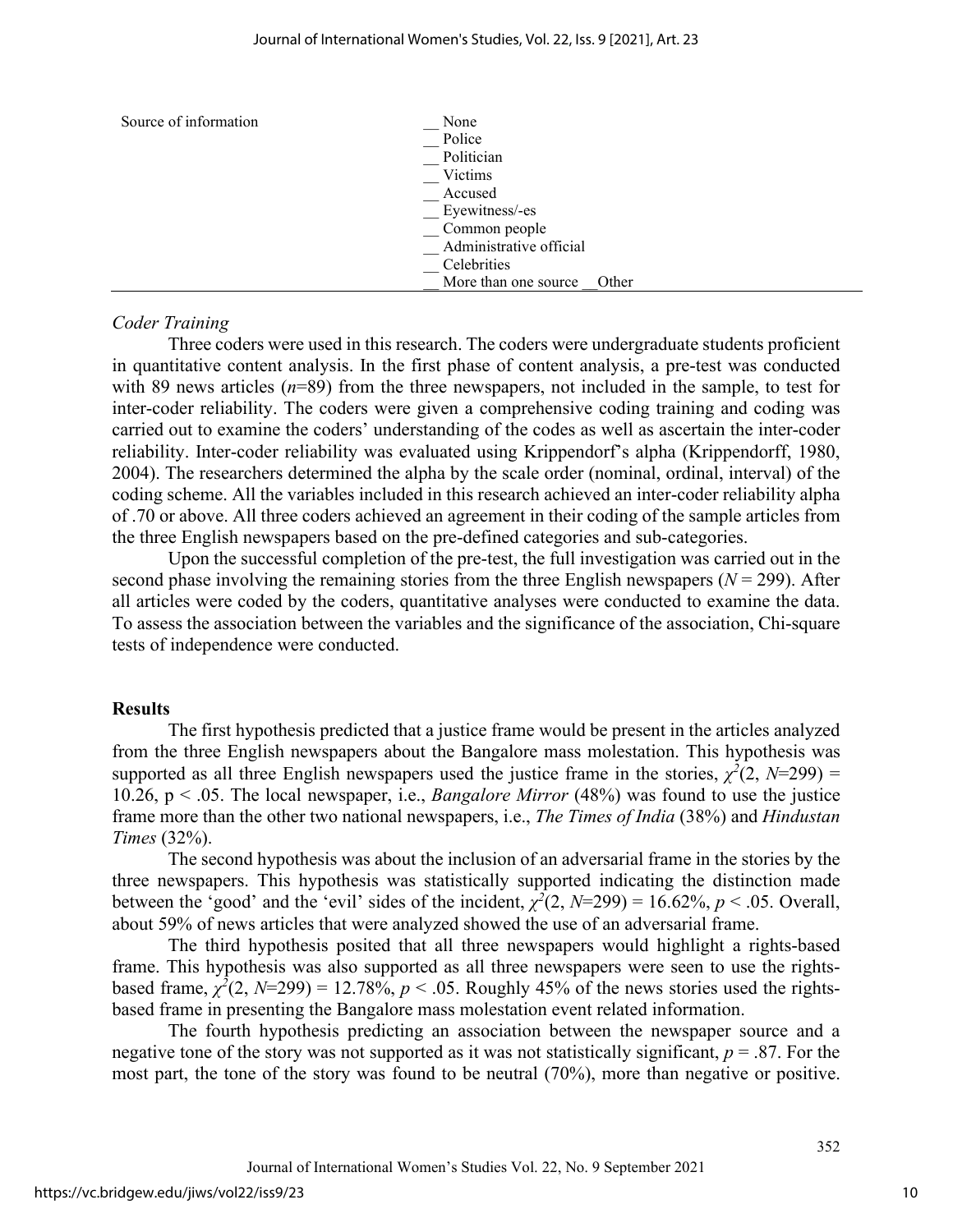| Source of information | None                          |
|-----------------------|-------------------------------|
|                       | Police                        |
|                       | Politician                    |
|                       | Victims                       |
|                       | Accused                       |
|                       | Eyewitness/-es                |
|                       | Common people                 |
|                       | Administrative official       |
|                       | Celebrities                   |
|                       | More than one source<br>Other |

#### *Coder Training*

Three coders were used in this research. The coders were undergraduate students proficient in quantitative content analysis. In the first phase of content analysis, a pre-test was conducted with 89 news articles (*n*=89) from the three newspapers, not included in the sample, to test for inter-coder reliability. The coders were given a comprehensive coding training and coding was carried out to examine the coders' understanding of the codes as well as ascertain the inter-coder reliability. Inter-coder reliability was evaluated using Krippendorf's alpha (Krippendorff, 1980, 2004). The researchers determined the alpha by the scale order (nominal, ordinal, interval) of the coding scheme. All the variables included in this research achieved an inter-coder reliability alpha of .70 or above. All three coders achieved an agreement in their coding of the sample articles from the three English newspapers based on the pre-defined categories and sub-categories.

Upon the successful completion of the pre-test, the full investigation was carried out in the second phase involving the remaining stories from the three English newspapers  $(N = 299)$ . After all articles were coded by the coders, quantitative analyses were conducted to examine the data. To assess the association between the variables and the significance of the association, Chi-square tests of independence were conducted.

#### **Results**

The first hypothesis predicted that a justice frame would be present in the articles analyzed from the three English newspapers about the Bangalore mass molestation. This hypothesis was supported as all three English newspapers used the justice frame in the stories,  $\chi^2(2, N=299)$  = 10.26, p < .05. The local newspaper, i.e., *Bangalore Mirror* (48%) was found to use the justice frame more than the other two national newspapers, i.e., *The Times of India* (38%) and *Hindustan Times* (32%).

The second hypothesis was about the inclusion of an adversarial frame in the stories by the three newspapers. This hypothesis was statistically supported indicating the distinction made between the 'good' and the 'evil' sides of the incident,  $\chi^2(2, N=299) = 16.62\%, p < .05$ . Overall, about 59% of news articles that were analyzed showed the use of an adversarial frame.

The third hypothesis posited that all three newspapers would highlight a rights-based frame. This hypothesis was also supported as all three newspapers were seen to use the rightsbased frame,  $\chi^2(2, N=299) = 12.78\%, p < .05$ . Roughly 45% of the news stories used the rightsbased frame in presenting the Bangalore mass molestation event related information.

The fourth hypothesis predicting an association between the newspaper source and a negative tone of the story was not supported as it was not statistically significant, *p* = .87. For the most part, the tone of the story was found to be neutral (70%), more than negative or positive.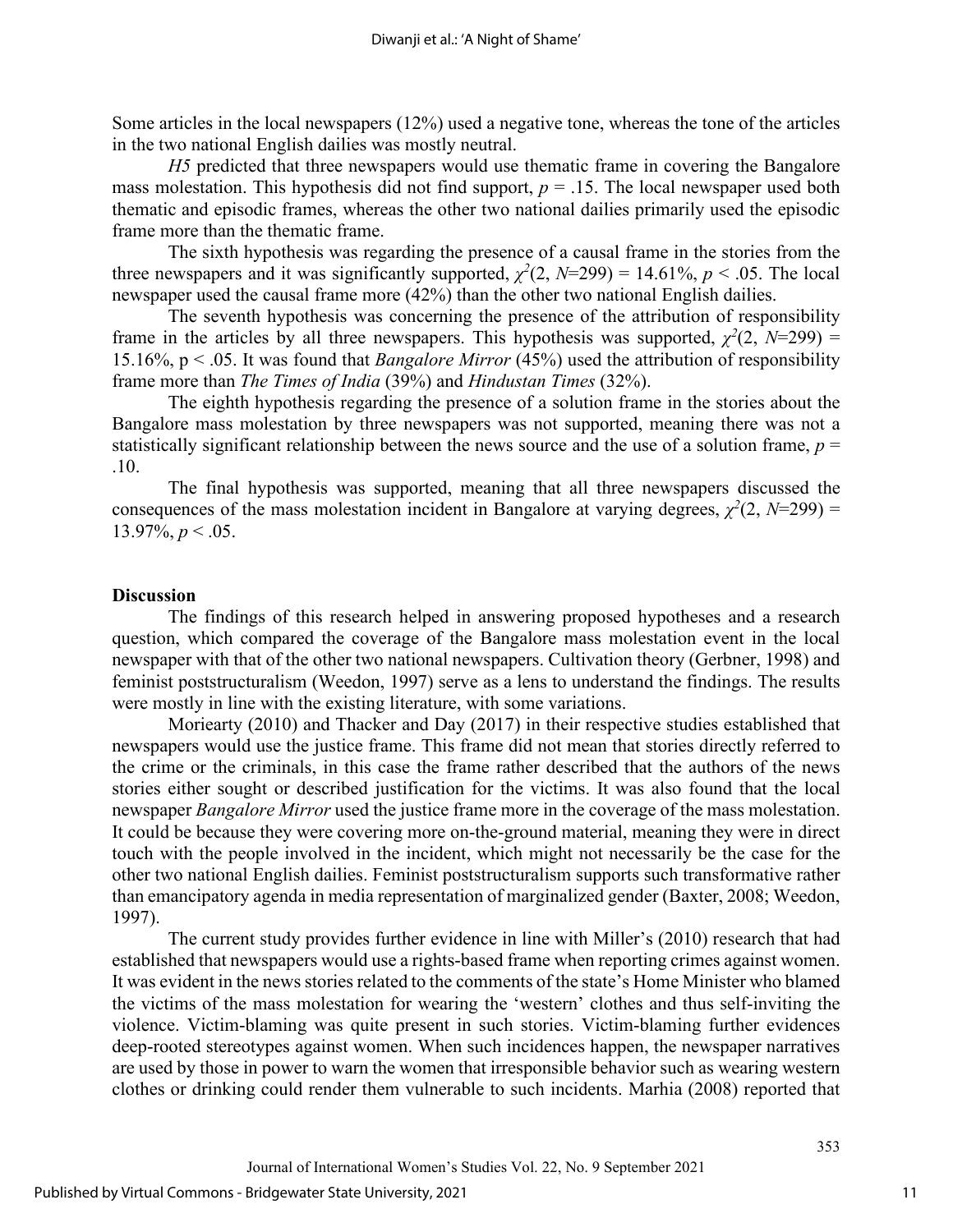Some articles in the local newspapers (12%) used a negative tone, whereas the tone of the articles in the two national English dailies was mostly neutral.

*H5* predicted that three newspapers would use thematic frame in covering the Bangalore mass molestation. This hypothesis did not find support,  $p = 0.15$ . The local newspaper used both thematic and episodic frames, whereas the other two national dailies primarily used the episodic frame more than the thematic frame.

The sixth hypothesis was regarding the presence of a causal frame in the stories from the three newspapers and it was significantly supported,  $\chi^2(2, N=299) = 14.61\%$ ,  $p < .05$ . The local newspaper used the causal frame more (42%) than the other two national English dailies.

The seventh hypothesis was concerning the presence of the attribution of responsibility frame in the articles by all three newspapers. This hypothesis was supported,  $\chi^2(2, N=299)$  = 15.16%, p < .05. It was found that *Bangalore Mirror* (45%) used the attribution of responsibility frame more than *The Times of India* (39%) and *Hindustan Times* (32%).

The eighth hypothesis regarding the presence of a solution frame in the stories about the Bangalore mass molestation by three newspapers was not supported, meaning there was not a statistically significant relationship between the news source and the use of a solution frame,  $p =$ .10.

The final hypothesis was supported, meaning that all three newspapers discussed the consequences of the mass molestation incident in Bangalore at varying degrees,  $\chi^2(2, N=299)$  = 13.97%,  $p < .05$ .

#### **Discussion**

The findings of this research helped in answering proposed hypotheses and a research question, which compared the coverage of the Bangalore mass molestation event in the local newspaper with that of the other two national newspapers. Cultivation theory (Gerbner, 1998) and feminist poststructuralism (Weedon, 1997) serve as a lens to understand the findings. The results were mostly in line with the existing literature, with some variations.

Moriearty (2010) and Thacker and Day (2017) in their respective studies established that newspapers would use the justice frame. This frame did not mean that stories directly referred to the crime or the criminals, in this case the frame rather described that the authors of the news stories either sought or described justification for the victims. It was also found that the local newspaper *Bangalore Mirror* used the justice frame more in the coverage of the mass molestation. It could be because they were covering more on-the-ground material, meaning they were in direct touch with the people involved in the incident, which might not necessarily be the case for the other two national English dailies. Feminist poststructuralism supports such transformative rather than emancipatory agenda in media representation of marginalized gender (Baxter, 2008; Weedon, 1997).

The current study provides further evidence in line with Miller's (2010) research that had established that newspapers would use a rights-based frame when reporting crimes against women. It was evident in the news stories related to the comments of the state's Home Minister who blamed the victims of the mass molestation for wearing the 'western' clothes and thus self-inviting the violence. Victim-blaming was quite present in such stories. Victim-blaming further evidences deep-rooted stereotypes against women. When such incidences happen, the newspaper narratives are used by those in power to warn the women that irresponsible behavior such as wearing western clothes or drinking could render them vulnerable to such incidents. Marhia (2008) reported that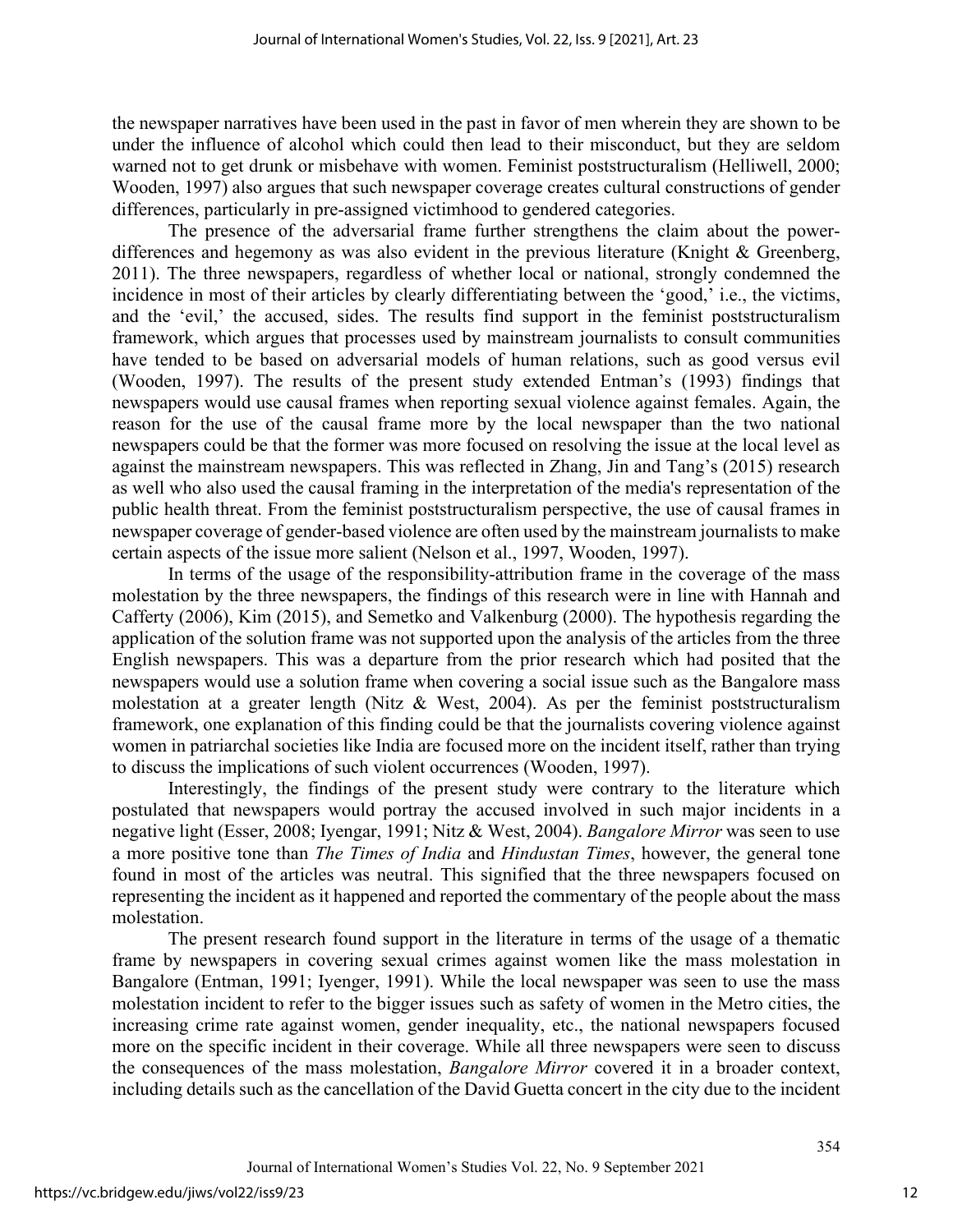the newspaper narratives have been used in the past in favor of men wherein they are shown to be under the influence of alcohol which could then lead to their misconduct, but they are seldom warned not to get drunk or misbehave with women. Feminist poststructuralism (Helliwell, 2000; Wooden, 1997) also argues that such newspaper coverage creates cultural constructions of gender differences, particularly in pre-assigned victimhood to gendered categories.

The presence of the adversarial frame further strengthens the claim about the powerdifferences and hegemony as was also evident in the previous literature (Knight & Greenberg, 2011). The three newspapers, regardless of whether local or national, strongly condemned the incidence in most of their articles by clearly differentiating between the 'good,' i.e., the victims, and the 'evil,' the accused, sides. The results find support in the feminist poststructuralism framework, which argues that processes used by mainstream journalists to consult communities have tended to be based on adversarial models of human relations, such as good versus evil (Wooden, 1997). The results of the present study extended Entman's (1993) findings that newspapers would use causal frames when reporting sexual violence against females. Again, the reason for the use of the causal frame more by the local newspaper than the two national newspapers could be that the former was more focused on resolving the issue at the local level as against the mainstream newspapers. This was reflected in Zhang, Jin and Tang's (2015) research as well who also used the causal framing in the interpretation of the media's representation of the public health threat. From the feminist poststructuralism perspective, the use of causal frames in newspaper coverage of gender-based violence are often used by the mainstream journalists to make certain aspects of the issue more salient (Nelson et al., 1997, Wooden, 1997).

In terms of the usage of the responsibility-attribution frame in the coverage of the mass molestation by the three newspapers, the findings of this research were in line with Hannah and Cafferty (2006), Kim (2015), and Semetko and Valkenburg (2000). The hypothesis regarding the application of the solution frame was not supported upon the analysis of the articles from the three English newspapers. This was a departure from the prior research which had posited that the newspapers would use a solution frame when covering a social issue such as the Bangalore mass molestation at a greater length (Nitz & West, 2004). As per the feminist poststructuralism framework, one explanation of this finding could be that the journalists covering violence against women in patriarchal societies like India are focused more on the incident itself, rather than trying to discuss the implications of such violent occurrences (Wooden, 1997).

Interestingly, the findings of the present study were contrary to the literature which postulated that newspapers would portray the accused involved in such major incidents in a negative light (Esser, 2008; Iyengar, 1991; Nitz & West, 2004). *Bangalore Mirror* was seen to use a more positive tone than *The Times of India* and *Hindustan Times*, however, the general tone found in most of the articles was neutral. This signified that the three newspapers focused on representing the incident as it happened and reported the commentary of the people about the mass molestation.

The present research found support in the literature in terms of the usage of a thematic frame by newspapers in covering sexual crimes against women like the mass molestation in Bangalore (Entman, 1991; Iyenger, 1991). While the local newspaper was seen to use the mass molestation incident to refer to the bigger issues such as safety of women in the Metro cities, the increasing crime rate against women, gender inequality, etc., the national newspapers focused more on the specific incident in their coverage. While all three newspapers were seen to discuss the consequences of the mass molestation, *Bangalore Mirror* covered it in a broader context, including details such as the cancellation of the David Guetta concert in the city due to the incident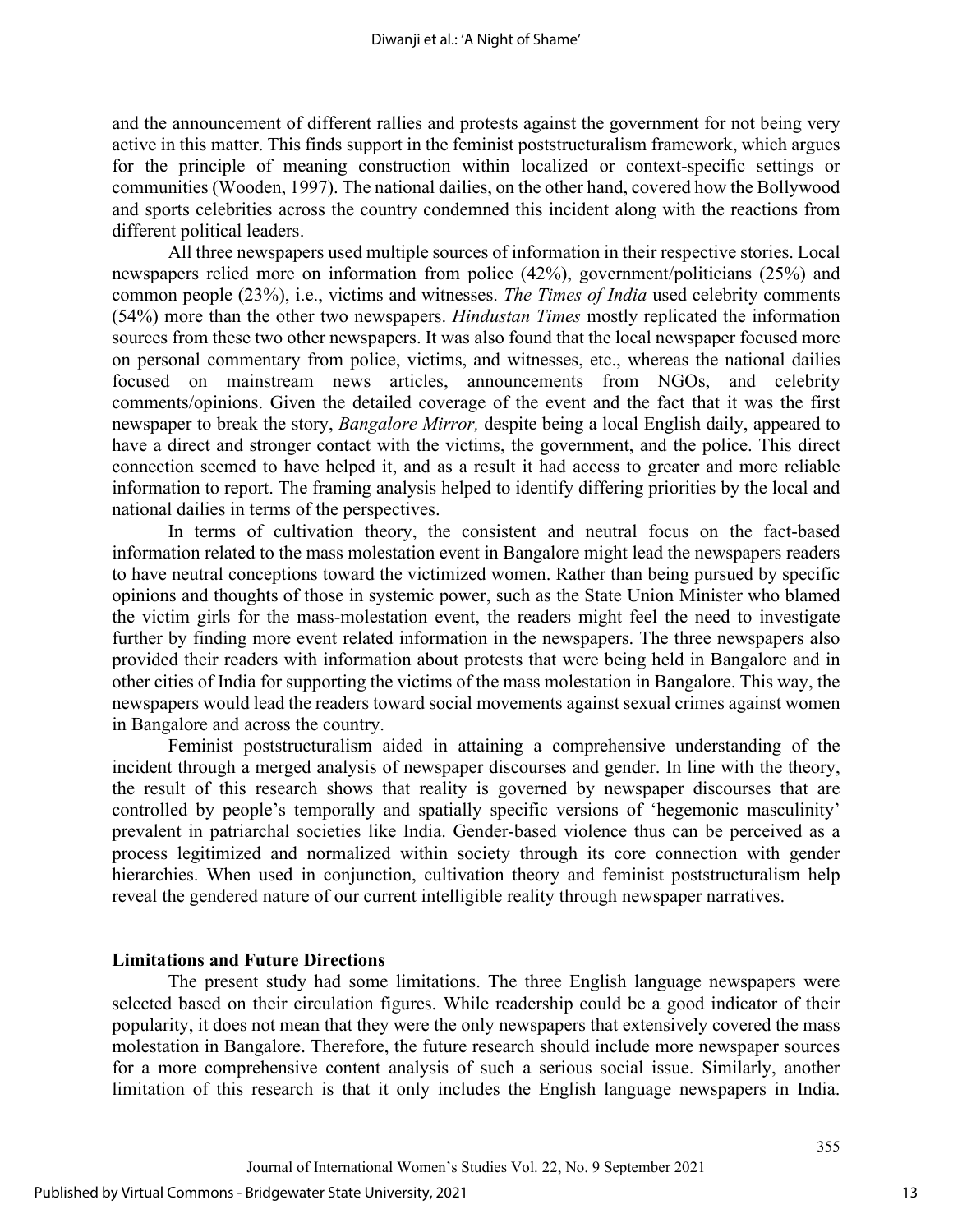and the announcement of different rallies and protests against the government for not being very active in this matter. This finds support in the feminist poststructuralism framework, which argues for the principle of meaning construction within localized or context-specific settings or communities (Wooden, 1997). The national dailies, on the other hand, covered how the Bollywood and sports celebrities across the country condemned this incident along with the reactions from different political leaders.

All three newspapers used multiple sources of information in their respective stories. Local newspapers relied more on information from police (42%), government/politicians (25%) and common people (23%), i.e., victims and witnesses. *The Times of India* used celebrity comments (54%) more than the other two newspapers. *Hindustan Times* mostly replicated the information sources from these two other newspapers. It was also found that the local newspaper focused more on personal commentary from police, victims, and witnesses, etc., whereas the national dailies focused on mainstream news articles, announcements from NGOs, and celebrity comments/opinions. Given the detailed coverage of the event and the fact that it was the first newspaper to break the story, *Bangalore Mirror,* despite being a local English daily, appeared to have a direct and stronger contact with the victims, the government, and the police. This direct connection seemed to have helped it, and as a result it had access to greater and more reliable information to report. The framing analysis helped to identify differing priorities by the local and national dailies in terms of the perspectives.

In terms of cultivation theory, the consistent and neutral focus on the fact-based information related to the mass molestation event in Bangalore might lead the newspapers readers to have neutral conceptions toward the victimized women. Rather than being pursued by specific opinions and thoughts of those in systemic power, such as the State Union Minister who blamed the victim girls for the mass-molestation event, the readers might feel the need to investigate further by finding more event related information in the newspapers. The three newspapers also provided their readers with information about protests that were being held in Bangalore and in other cities of India for supporting the victims of the mass molestation in Bangalore. This way, the newspapers would lead the readers toward social movements against sexual crimes against women in Bangalore and across the country.

Feminist poststructuralism aided in attaining a comprehensive understanding of the incident through a merged analysis of newspaper discourses and gender. In line with the theory, the result of this research shows that reality is governed by newspaper discourses that are controlled by people's temporally and spatially specific versions of 'hegemonic masculinity' prevalent in patriarchal societies like India. Gender-based violence thus can be perceived as a process legitimized and normalized within society through its core connection with gender hierarchies. When used in conjunction, cultivation theory and feminist poststructuralism help reveal the gendered nature of our current intelligible reality through newspaper narratives.

#### **Limitations and Future Directions**

The present study had some limitations. The three English language newspapers were selected based on their circulation figures. While readership could be a good indicator of their popularity, it does not mean that they were the only newspapers that extensively covered the mass molestation in Bangalore. Therefore, the future research should include more newspaper sources for a more comprehensive content analysis of such a serious social issue. Similarly, another limitation of this research is that it only includes the English language newspapers in India.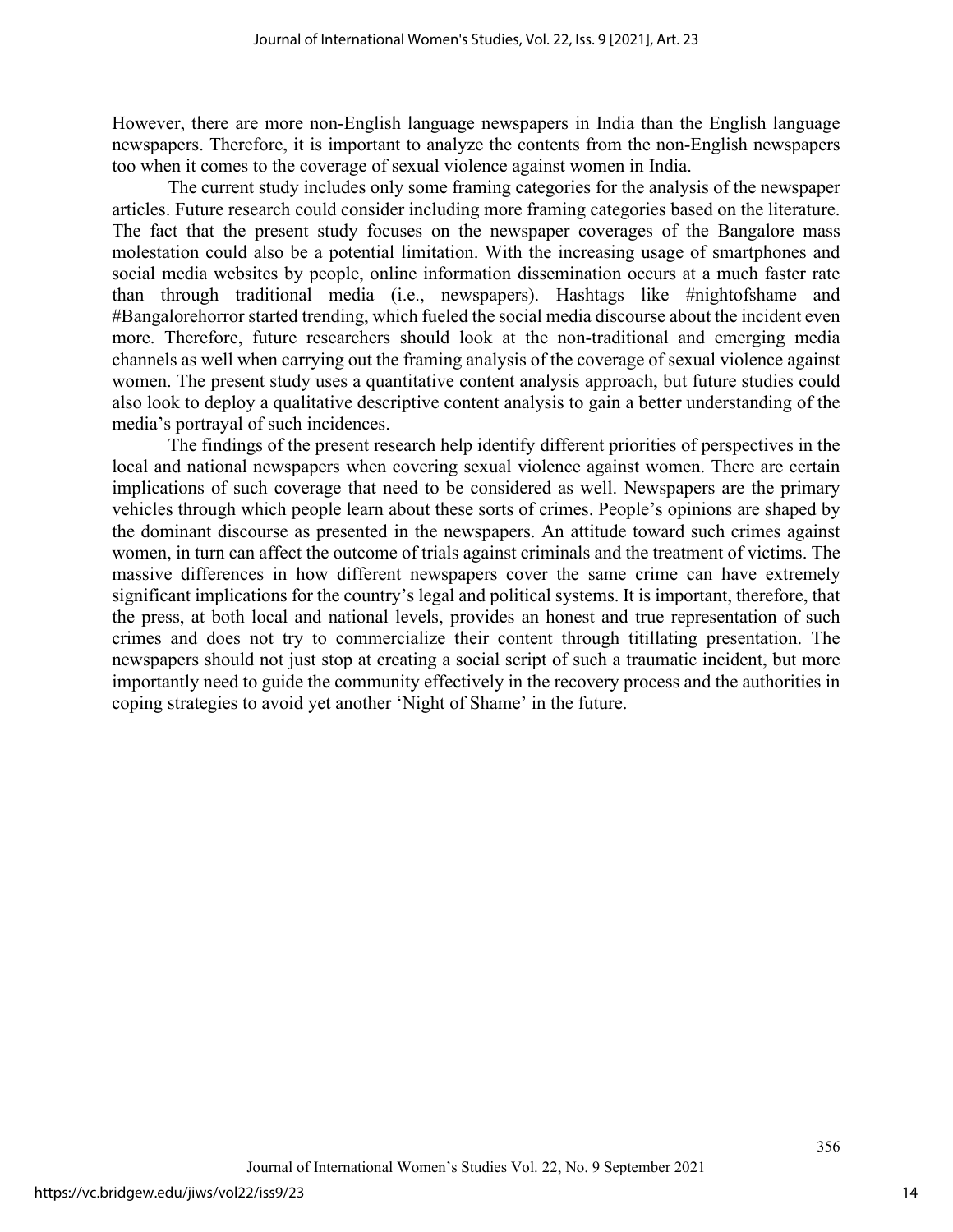However, there are more non-English language newspapers in India than the English language newspapers. Therefore, it is important to analyze the contents from the non-English newspapers too when it comes to the coverage of sexual violence against women in India.

The current study includes only some framing categories for the analysis of the newspaper articles. Future research could consider including more framing categories based on the literature. The fact that the present study focuses on the newspaper coverages of the Bangalore mass molestation could also be a potential limitation. With the increasing usage of smartphones and social media websites by people, online information dissemination occurs at a much faster rate than through traditional media (i.e., newspapers). Hashtags like #nightofshame and #Bangalorehorror started trending, which fueled the social media discourse about the incident even more. Therefore, future researchers should look at the non-traditional and emerging media channels as well when carrying out the framing analysis of the coverage of sexual violence against women. The present study uses a quantitative content analysis approach, but future studies could also look to deploy a qualitative descriptive content analysis to gain a better understanding of the media's portrayal of such incidences.

 The findings of the present research help identify different priorities of perspectives in the local and national newspapers when covering sexual violence against women. There are certain implications of such coverage that need to be considered as well. Newspapers are the primary vehicles through which people learn about these sorts of crimes. People's opinions are shaped by the dominant discourse as presented in the newspapers. An attitude toward such crimes against women, in turn can affect the outcome of trials against criminals and the treatment of victims. The massive differences in how different newspapers cover the same crime can have extremely significant implications for the country's legal and political systems. It is important, therefore, that the press, at both local and national levels, provides an honest and true representation of such crimes and does not try to commercialize their content through titillating presentation. The newspapers should not just stop at creating a social script of such a traumatic incident, but more importantly need to guide the community effectively in the recovery process and the authorities in coping strategies to avoid yet another 'Night of Shame' in the future.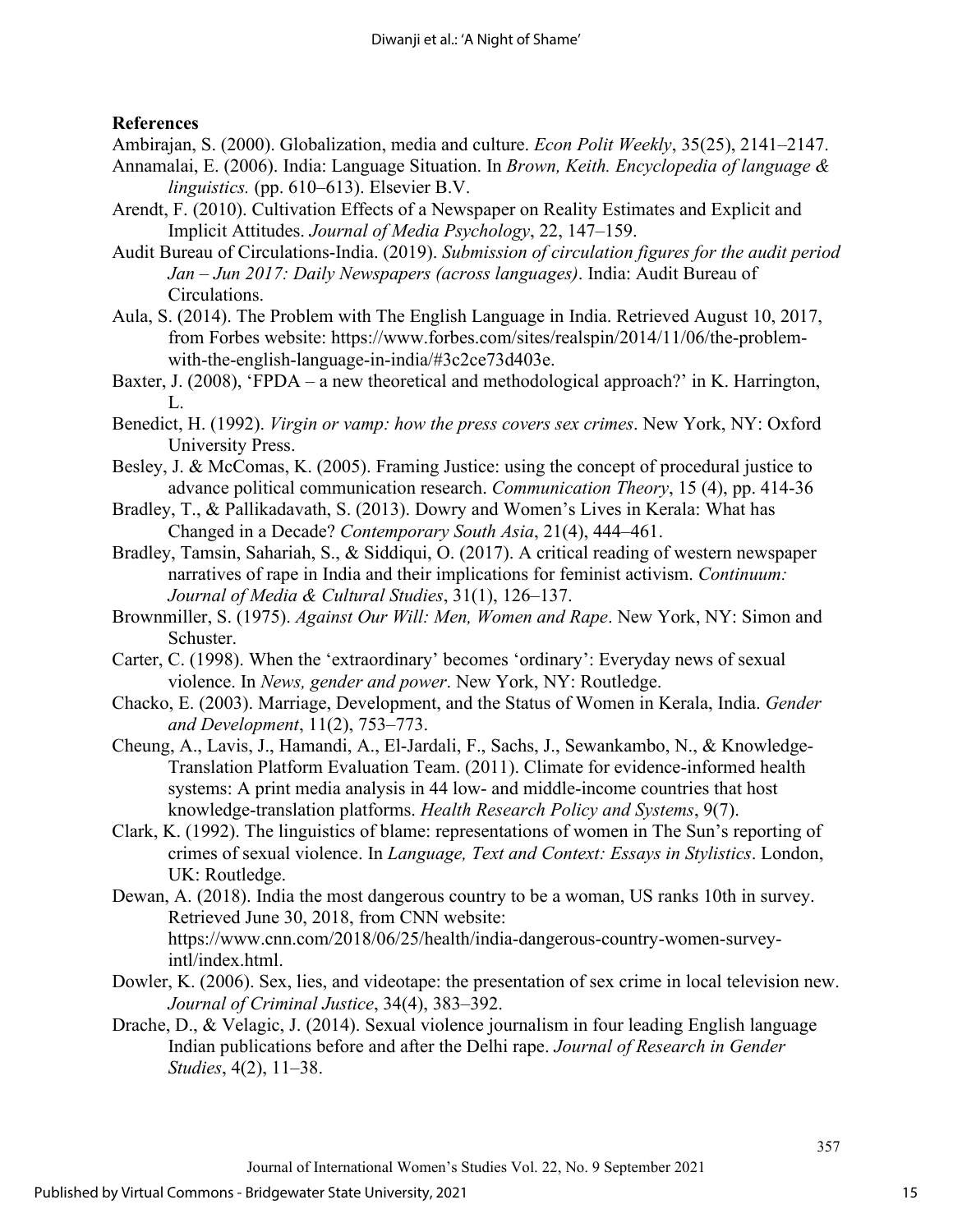## **References**

Ambirajan, S. (2000). Globalization, media and culture. *Econ Polit Weekly*, 35(25), 2141–2147.

- Annamalai, E. (2006). India: Language Situation. In *Brown, Keith. Encyclopedia of language & linguistics.* (pp. 610–613). Elsevier B.V.
- Arendt, F. (2010). Cultivation Effects of a Newspaper on Reality Estimates and Explicit and Implicit Attitudes. *Journal of Media Psychology*, 22, 147–159.
- Audit Bureau of Circulations-India. (2019). *Submission of circulation figures for the audit period Jan – Jun 2017: Daily Newspapers (across languages)*. India: Audit Bureau of Circulations.
- Aula, S. (2014). The Problem with The English Language in India. Retrieved August 10, 2017, from Forbes website: https://www.forbes.com/sites/realspin/2014/11/06/the-problemwith-the-english-language-in-india/#3c2ce73d403e.
- Baxter, J. (2008), 'FPDA a new theoretical and methodological approach?' in K. Harrington, L.
- Benedict, H. (1992). *Virgin or vamp: how the press covers sex crimes*. New York, NY: Oxford University Press.
- Besley, J. & McComas, K. (2005). Framing Justice: using the concept of procedural justice to advance political communication research. *Communication Theory*, 15 (4), pp. 414-36
- Bradley, T., & Pallikadavath, S. (2013). Dowry and Women's Lives in Kerala: What has Changed in a Decade? *Contemporary South Asia*, 21(4), 444–461.
- Bradley, Tamsin, Sahariah, S., & Siddiqui, O. (2017). A critical reading of western newspaper narratives of rape in India and their implications for feminist activism. *Continuum: Journal of Media & Cultural Studies*, 31(1), 126–137.
- Brownmiller, S. (1975). *Against Our Will: Men, Women and Rape*. New York, NY: Simon and Schuster.
- Carter, C. (1998). When the 'extraordinary' becomes 'ordinary': Everyday news of sexual violence. In *News, gender and power*. New York, NY: Routledge.
- Chacko, E. (2003). Marriage, Development, and the Status of Women in Kerala, India. *Gender and Development*, 11(2), 753–773.
- Cheung, A., Lavis, J., Hamandi, A., El-Jardali, F., Sachs, J., Sewankambo, N., & Knowledge-Translation Platform Evaluation Team. (2011). Climate for evidence-informed health systems: A print media analysis in 44 low- and middle-income countries that host knowledge-translation platforms. *Health Research Policy and Systems*, 9(7).
- Clark, K. (1992). The linguistics of blame: representations of women in The Sun's reporting of crimes of sexual violence. In *Language, Text and Context: Essays in Stylistics*. London, UK: Routledge.
- Dewan, A. (2018). India the most dangerous country to be a woman, US ranks 10th in survey. Retrieved June 30, 2018, from CNN website: https://www.cnn.com/2018/06/25/health/india-dangerous-country-women-surveyintl/index.html.
- Dowler, K. (2006). Sex, lies, and videotape: the presentation of sex crime in local television new. *Journal of Criminal Justice*, 34(4), 383–392.
- Drache, D., & Velagic, J. (2014). Sexual violence journalism in four leading English language Indian publications before and after the Delhi rape. *Journal of Research in Gender Studies*, 4(2), 11–38.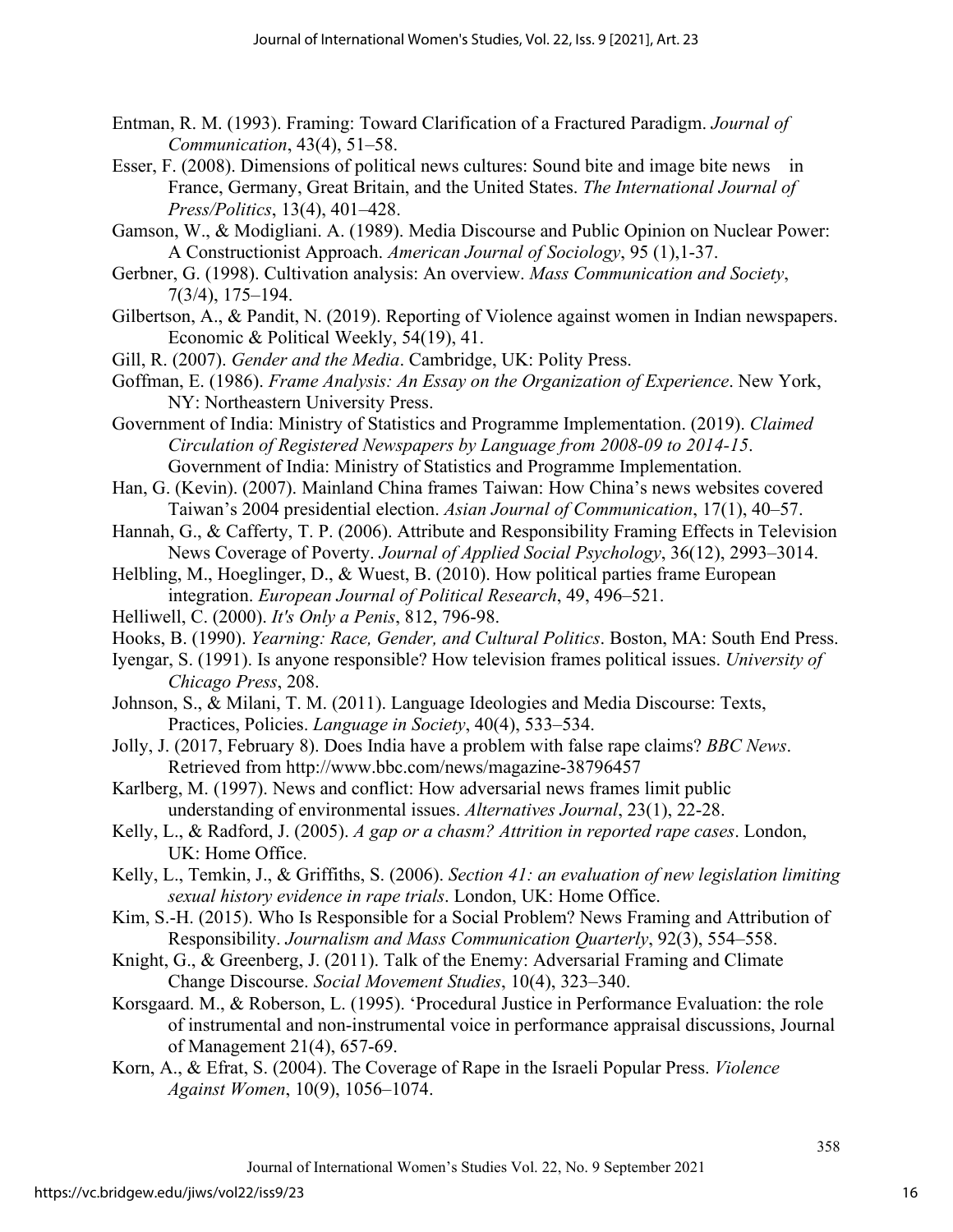- Entman, R. M. (1993). Framing: Toward Clarification of a Fractured Paradigm. *Journal of Communication*, 43(4), 51–58.
- Esser, F. (2008). Dimensions of political news cultures: Sound bite and image bite news in France, Germany, Great Britain, and the United States. *The International Journal of Press/Politics*, 13(4), 401–428.
- Gamson, W., & Modigliani. A. (1989). Media Discourse and Public Opinion on Nuclear Power: A Constructionist Approach. *American Journal of Sociology*, 95 (1),1-37.
- Gerbner, G. (1998). Cultivation analysis: An overview. *Mass Communication and Society*, 7(3/4), 175–194.
- Gilbertson, A., & Pandit, N. (2019). Reporting of Violence against women in Indian newspapers. Economic & Political Weekly, 54(19), 41.
- Gill, R. (2007). *Gender and the Media*. Cambridge, UK: Polity Press.
- Goffman, E. (1986). *Frame Analysis: An Essay on the Organization of Experience*. New York, NY: Northeastern University Press.
- Government of India: Ministry of Statistics and Programme Implementation. (2019). *Claimed Circulation of Registered Newspapers by Language from 2008-09 to 2014-15*. Government of India: Ministry of Statistics and Programme Implementation.
- Han, G. (Kevin). (2007). Mainland China frames Taiwan: How China's news websites covered Taiwan's 2004 presidential election. *Asian Journal of Communication*, 17(1), 40–57.
- Hannah, G., & Cafferty, T. P. (2006). Attribute and Responsibility Framing Effects in Television News Coverage of Poverty. *Journal of Applied Social Psychology*, 36(12), 2993–3014.
- Helbling, M., Hoeglinger, D., & Wuest, B. (2010). How political parties frame European integration. *European Journal of Political Research*, 49, 496–521.
- Helliwell, C. (2000). *It's Only a Penis*, 812, 796-98.
- Hooks, B. (1990). *Yearning: Race, Gender, and Cultural Politics*. Boston, MA: South End Press.
- Iyengar, S. (1991). Is anyone responsible? How television frames political issues. *University of Chicago Press*, 208.
- Johnson, S., & Milani, T. M. (2011). Language Ideologies and Media Discourse: Texts, Practices, Policies. *Language in Society*, 40(4), 533–534.
- Jolly, J. (2017, February 8). Does India have a problem with false rape claims? *BBC News*. Retrieved from http://www.bbc.com/news/magazine-38796457
- Karlberg, M. (1997). News and conflict: How adversarial news frames limit public understanding of environmental issues. *Alternatives Journal*, 23(1), 22-28.
- Kelly, L., & Radford, J. (2005). *A gap or a chasm? Attrition in reported rape cases*. London, UK: Home Office.
- Kelly, L., Temkin, J., & Griffiths, S. (2006). *Section 41: an evaluation of new legislation limiting sexual history evidence in rape trials*. London, UK: Home Office.
- Kim, S.-H. (2015). Who Is Responsible for a Social Problem? News Framing and Attribution of Responsibility. *Journalism and Mass Communication Quarterly*, 92(3), 554–558.
- Knight, G., & Greenberg, J. (2011). Talk of the Enemy: Adversarial Framing and Climate Change Discourse. *Social Movement Studies*, 10(4), 323–340.
- Korsgaard. M., & Roberson, L. (1995). 'Procedural Justice in Performance Evaluation: the role of instrumental and non-instrumental voice in performance appraisal discussions, Journal of Management 21(4), 657-69.
- Korn, A., & Efrat, S. (2004). The Coverage of Rape in the Israeli Popular Press. *Violence Against Women*, 10(9), 1056–1074.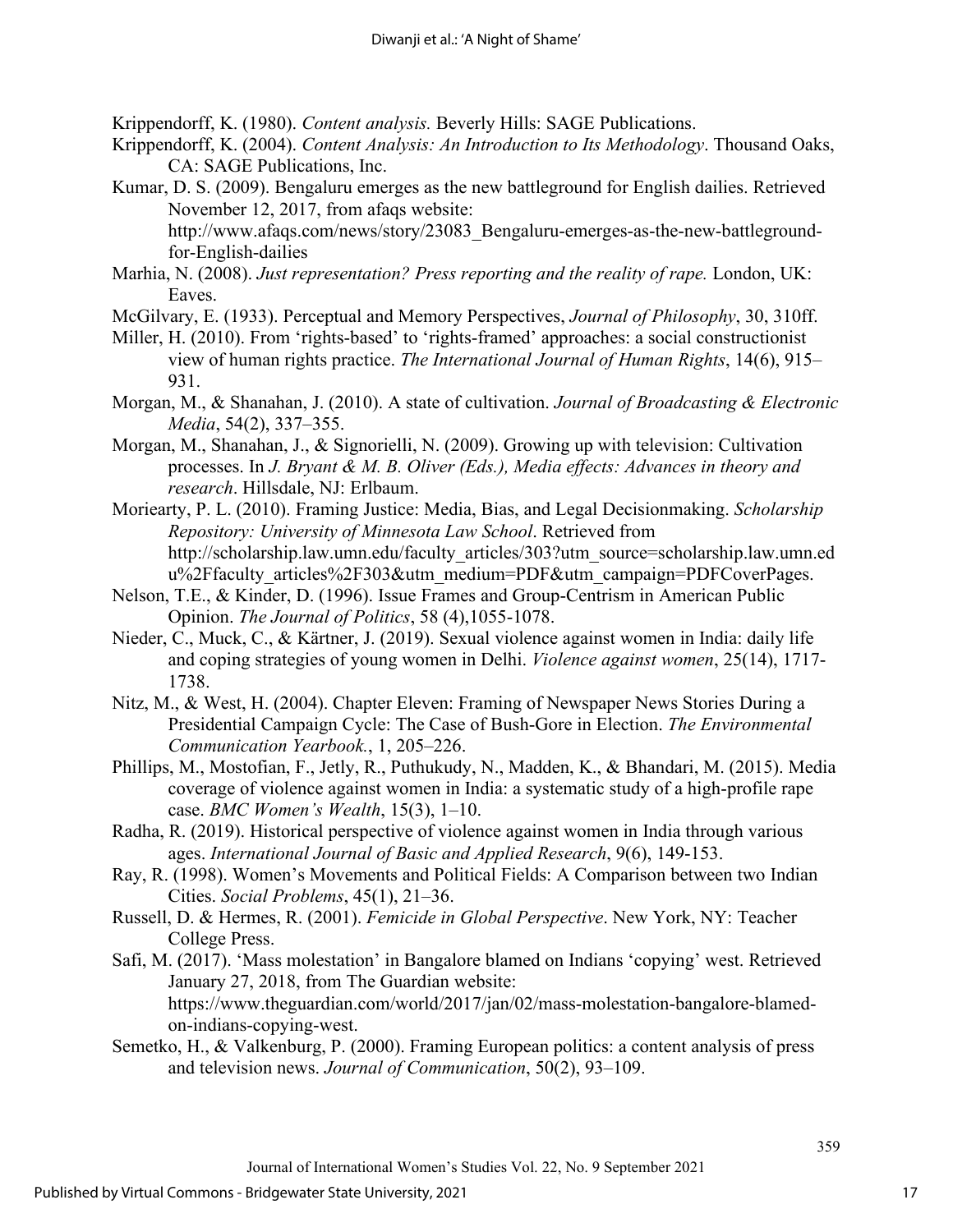Krippendorff, K. (1980). *Content analysis.* Beverly Hills: SAGE Publications.

- Krippendorff, K. (2004). *Content Analysis: An Introduction to Its Methodology*. Thousand Oaks, CA: SAGE Publications, Inc.
- Kumar, D. S. (2009). Bengaluru emerges as the new battleground for English dailies. Retrieved November 12, 2017, from afaqs website:

http://www.afaqs.com/news/story/23083\_Bengaluru-emerges-as-the-new-battlegroundfor-English-dailies

- Marhia, N. (2008). *Just representation? Press reporting and the reality of rape.* London, UK: Eaves.
- McGilvary, E. (1933). Perceptual and Memory Perspectives, *Journal of Philosophy*, 30, 310ff.
- Miller, H. (2010). From 'rights-based' to 'rights-framed' approaches: a social constructionist view of human rights practice. *The International Journal of Human Rights*, 14(6), 915– 931.
- Morgan, M., & Shanahan, J. (2010). A state of cultivation. *Journal of Broadcasting & Electronic Media*, 54(2), 337–355.
- Morgan, M., Shanahan, J., & Signorielli, N. (2009). Growing up with television: Cultivation processes. In *J. Bryant & M. B. Oliver (Eds.), Media effects: Advances in theory and research*. Hillsdale, NJ: Erlbaum.
- Moriearty, P. L. (2010). Framing Justice: Media, Bias, and Legal Decisionmaking. *Scholarship Repository: University of Minnesota Law School*. Retrieved from http://scholarship.law.umn.edu/faculty\_articles/303?utm\_source=scholarship.law.umn.ed u%2Ffaculty articles%2F303&utm\_medium=PDF&utm\_campaign=PDFCoverPages.
- Nelson, T.E., & Kinder, D. (1996). Issue Frames and Group-Centrism in American Public Opinion. *The Journal of Politics*, 58 (4),1055-1078.
- Nieder, C., Muck, C., & Kärtner, J. (2019). Sexual violence against women in India: daily life and coping strategies of young women in Delhi. *Violence against women*, 25(14), 1717- 1738.
- Nitz, M., & West, H. (2004). Chapter Eleven: Framing of Newspaper News Stories During a Presidential Campaign Cycle: The Case of Bush-Gore in Election. *The Environmental Communication Yearbook.*, 1, 205–226.
- Phillips, M., Mostofian, F., Jetly, R., Puthukudy, N., Madden, K., & Bhandari, M. (2015). Media coverage of violence against women in India: a systematic study of a high-profile rape case. *BMC Women's Wealth*, 15(3), 1–10.
- Radha, R. (2019). Historical perspective of violence against women in India through various ages. *International Journal of Basic and Applied Research*, 9(6), 149-153.
- Ray, R. (1998). Women's Movements and Political Fields: A Comparison between two Indian Cities. *Social Problems*, 45(1), 21–36.
- Russell, D. & Hermes, R. (2001). *Femicide in Global Perspective*. New York, NY: Teacher College Press.
- Safi, M. (2017). 'Mass molestation' in Bangalore blamed on Indians 'copying' west. Retrieved January 27, 2018, from The Guardian website: https://www.theguardian.com/world/2017/jan/02/mass-molestation-bangalore-blamedon-indians-copying-west.
- Semetko, H., & Valkenburg, P. (2000). Framing European politics: a content analysis of press and television news. *Journal of Communication*, 50(2), 93–109.